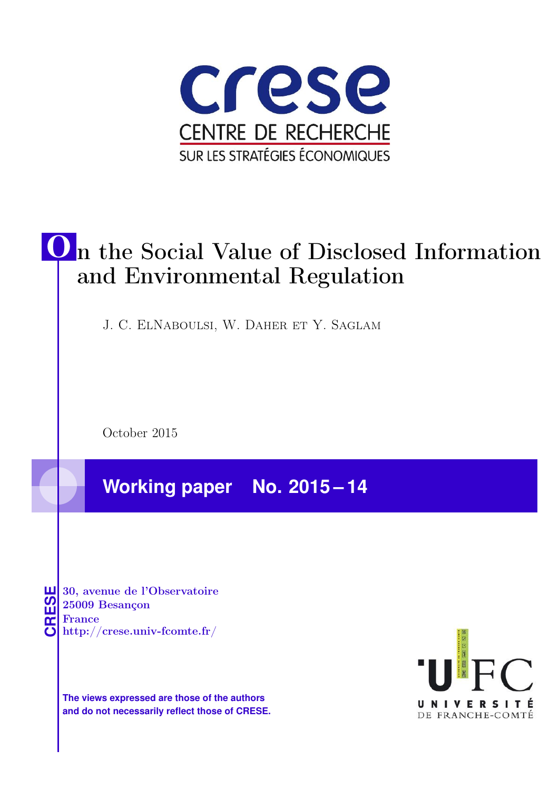

# O n the Social Value of Disclosed Information and Environmental Regulation

J. C. ElNaboulsi, W. Daher et Y. Saglam

October 2015

**Working paper No. 2015 – 14**

**CRESE 30, avenue de l'Observatoire<br>
25009 Besançon<br>
France<br>
<b>CRESE de l'Observatoire**<br>
Http://crese.univ-fcomte.fr/ 25009 Besançon France

**The views expressed are those of the authors and do not necessarily reflect those of CRESE.**

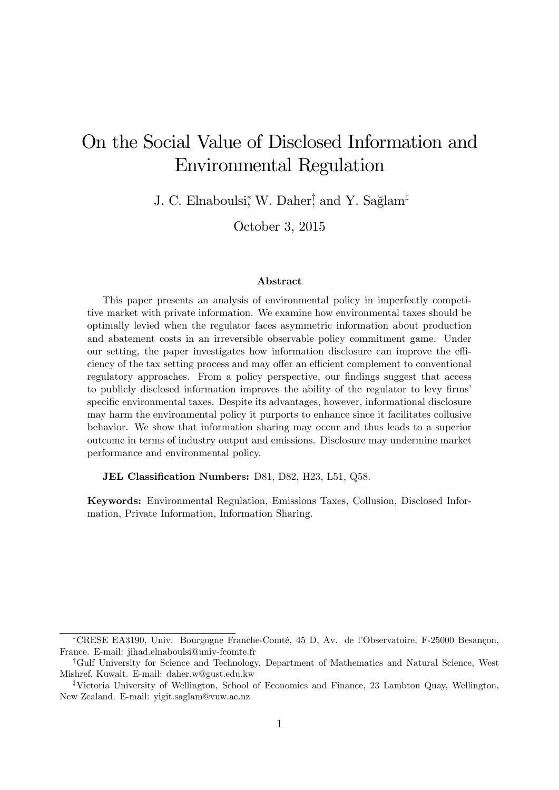# On the Social Value of Disclosed Information and Environmental Regulation

J. C. Elnaboulsi, W. Daher, and Y. Sağlam<sup>‡</sup>

October 3, 2015

#### Abstract

This paper presents an analysis of environmental policy in imperfectly competitive market with private information. We examine how environmental taxes should be optimally levied when the regulator faces asymmetric information about production and abatement costs in an irreversible observable policy commitment game. Under our setting, the paper investigates how information disclosure can improve the efficiency of the tax setting process and may offer an efficient complement to conventional regulatory approaches. From a policy perspective, our findings suggest that access to publicly disclosed information improves the ability of the regulator to levy firms specific environmental taxes. Despite its advantages, however, informational disclosure may harm the environmental policy it purports to enhance since it facilitates collusive behavior. We show that information sharing may occur and thus leads to a superior outcome in terms of industry output and emissions. Disclosure may undermine market performance and environmental policy.

JEL Classification Numbers: D81, D82, H23, L51, Q58.

Keywords: Environmental Regulation, Emissions Taxes, Collusion, Disclosed Information, Private Information, Information Sharing.

<sup>\*</sup>CRESE EA3190, Univ. Bourgogne Franche-Comté, 45 D, Av. de l'Observatoire, F-25000 Besançon, France. E-mail: jihad.elnaboulsi@univ-fcomte.fr

<sup>&</sup>lt;sup>†</sup>Gulf University for Science and Technology, Department of Mathematics and Natural Science, West Mishref, Kuwait. E-mail: daher.w@gust.edu.kw

<sup>&</sup>lt;sup>‡</sup>Victoria University of Wellington, School of Economics and Finance, 23 Lambton Quay, Wellington, New Zealand. E-mail: yigit.saglam@vuw.ac.nz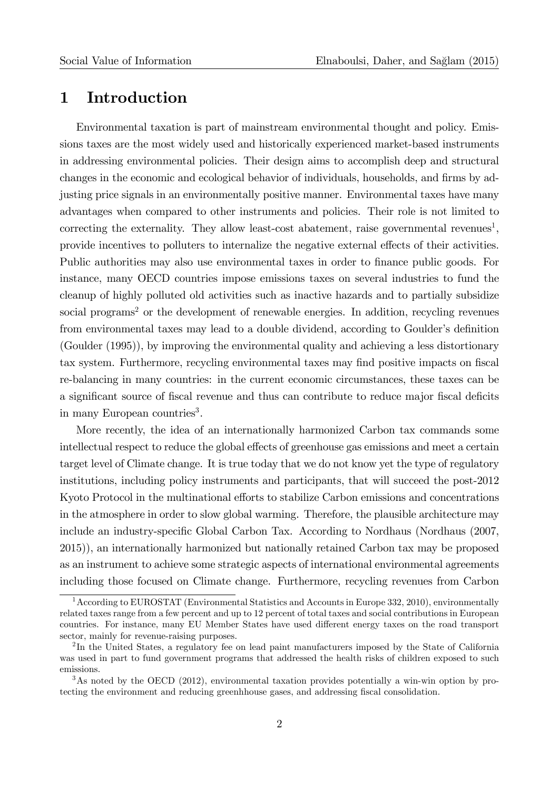### 1 Introduction

Environmental taxation is part of mainstream environmental thought and policy. Emissions taxes are the most widely used and historically experienced market-based instruments in addressing environmental policies. Their design aims to accomplish deep and structural changes in the economic and ecological behavior of individuals, households, and firms by adjusting price signals in an environmentally positive manner. Environmental taxes have many advantages when compared to other instruments and policies. Their role is not limited to correcting the externality. They allow least-cost abatement, raise governmental revenues<sup>1</sup>, provide incentives to polluters to internalize the negative external effects of their activities. Public authorities may also use environmental taxes in order to finance public goods. For instance, many OECD countries impose emissions taxes on several industries to fund the cleanup of highly polluted old activities such as inactive hazards and to partially subsidize social programs<sup>2</sup> or the development of renewable energies. In addition, recycling revenues from environmental taxes may lead to a double dividend, according to Goulder's definition (Goulder (1995)), by improving the environmental quality and achieving a less distortionary tax system. Furthermore, recycling environmental taxes may find positive impacts on fiscal re-balancing in many countries: in the current economic circumstances, these taxes can be a significant source of fiscal revenue and thus can contribute to reduce major fiscal deficits in many European countries<sup>3</sup>.

More recently, the idea of an internationally harmonized Carbon tax commands some intellectual respect to reduce the global effects of greenhouse gas emissions and meet a certain target level of Climate change. It is true today that we do not know yet the type of regulatory institutions, including policy instruments and participants, that will succeed the post-2012 Kyoto Protocol in the multinational efforts to stabilize Carbon emissions and concentrations in the atmosphere in order to slow global warming. Therefore, the plausible architecture may include an industry-specific Global Carbon Tax. According to Nordhaus (Nordhaus (2007, 2015)), an internationally harmonized but nationally retained Carbon tax may be proposed as an instrument to achieve some strategic aspects of international environmental agreements including those focused on Climate change. Furthermore, recycling revenues from Carbon

<sup>1</sup>According to EUROSTAT (Environmental Statistics and Accounts in Europe 332, 2010), environmentally related taxes range from a few percent and up to 12 percent of total taxes and social contributions in European countries. For instance, many EU Member States have used different energy taxes on the road transport sector, mainly for revenue-raising purposes.

<sup>&</sup>lt;sup>2</sup>In the United States, a regulatory fee on lead paint manufacturers imposed by the State of California was used in part to fund government programs that addressed the health risks of children exposed to such emissions.

<sup>&</sup>lt;sup>3</sup>As noted by the OECD (2012), environmental taxation provides potentially a win-win option by protecting the environment and reducing greenhhouse gases, and addressing fiscal consolidation.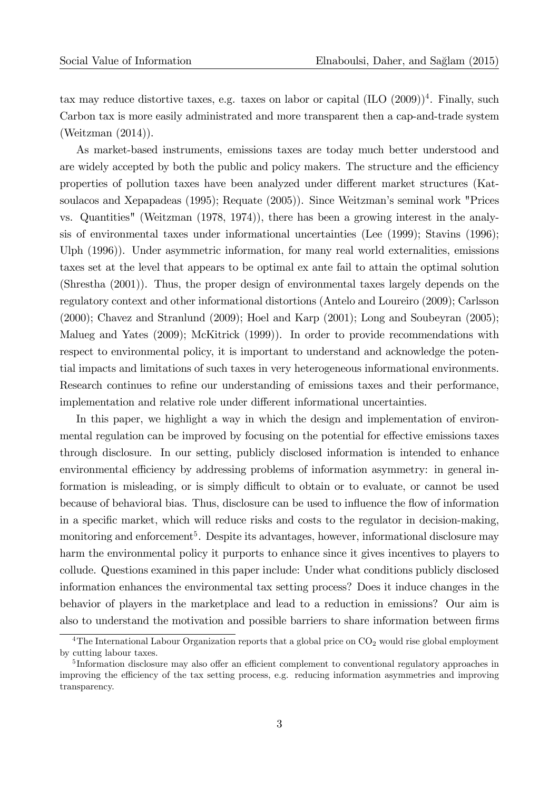tax may reduce distortive taxes, e.g. taxes on labor or capital  $(IIO (2009))$ <sup>4</sup>. Finally, such Carbon tax is more easily administrated and more transparent then a cap-and-trade system (Weitzman (2014)).

As market-based instruments, emissions taxes are today much better understood and are widely accepted by both the public and policy makers. The structure and the efficiency properties of pollution taxes have been analyzed under different market structures (Katsoulacos and Xepapadeas (1995); Requate (2005)). Since Weitzman's seminal work "Prices vs. Quantities" (Weitzman (1978, 1974)), there has been a growing interest in the analysis of environmental taxes under informational uncertainties (Lee (1999); Stavins (1996); Ulph (1996)). Under asymmetric information, for many real world externalities, emissions taxes set at the level that appears to be optimal ex ante fail to attain the optimal solution (Shrestha (2001)). Thus, the proper design of environmental taxes largely depends on the regulatory context and other informational distortions (Antelo and Loureiro (2009); Carlsson (2000); Chavez and Stranlund (2009); Hoel and Karp (2001); Long and Soubeyran (2005); Malueg and Yates (2009); McKitrick (1999)). In order to provide recommendations with respect to environmental policy, it is important to understand and acknowledge the potential impacts and limitations of such taxes in very heterogeneous informational environments. Research continues to refine our understanding of emissions taxes and their performance, implementation and relative role under different informational uncertainties.

In this paper, we highlight a way in which the design and implementation of environmental regulation can be improved by focusing on the potential for effective emissions taxes through disclosure. In our setting, publicly disclosed information is intended to enhance environmental efficiency by addressing problems of information asymmetry: in general information is misleading, or is simply difficult to obtain or to evaluate, or cannot be used because of behavioral bias. Thus, disclosure can be used to influence the flow of information in a specific market, which will reduce risks and costs to the regulator in decision-making, monitoring and enforcement<sup>5</sup>. Despite its advantages, however, informational disclosure may harm the environmental policy it purports to enhance since it gives incentives to players to collude. Questions examined in this paper include: Under what conditions publicly disclosed information enhances the environmental tax setting process? Does it induce changes in the behavior of players in the marketplace and lead to a reduction in emissions? Our aim is also to understand the motivation and possible barriers to share information between firms

<sup>&</sup>lt;sup>4</sup>The International Labour Organization reports that a global price on  $CO<sub>2</sub>$  would rise global employment by cutting labour taxes.

<sup>&</sup>lt;sup>5</sup>Information disclosure may also offer an efficient complement to conventional regulatory approaches in improving the efficiency of the tax setting process, e.g. reducing information asymmetries and improving transparency.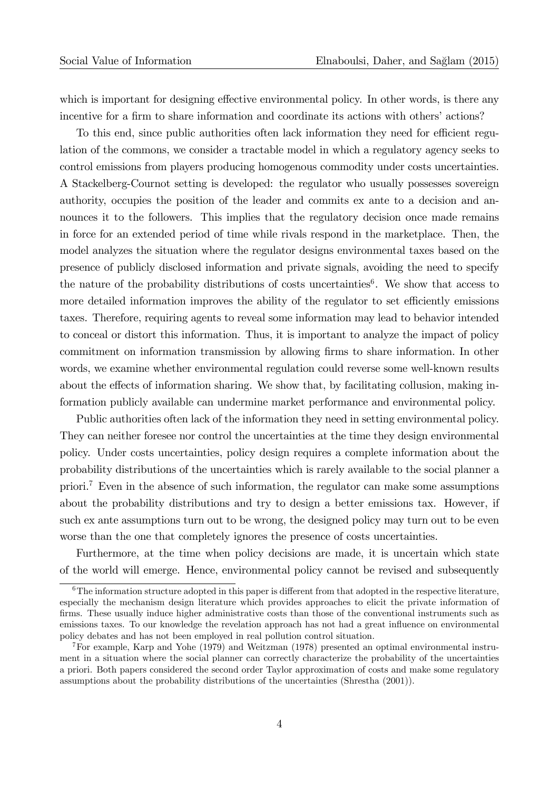which is important for designing effective environmental policy. In other words, is there any incentive for a firm to share information and coordinate its actions with others' actions?

To this end, since public authorities often lack information they need for efficient regulation of the commons, we consider a tractable model in which a regulatory agency seeks to control emissions from players producing homogenous commodity under costs uncertainties. A Stackelberg-Cournot setting is developed: the regulator who usually possesses sovereign authority, occupies the position of the leader and commits ex ante to a decision and announces it to the followers. This implies that the regulatory decision once made remains in force for an extended period of time while rivals respond in the marketplace. Then, the model analyzes the situation where the regulator designs environmental taxes based on the presence of publicly disclosed information and private signals, avoiding the need to specify the nature of the probability distributions of costs uncertainties<sup>6</sup>. We show that access to more detailed information improves the ability of the regulator to set efficiently emissions taxes. Therefore, requiring agents to reveal some information may lead to behavior intended to conceal or distort this information. Thus, it is important to analyze the impact of policy commitment on information transmission by allowing firms to share information. In other words, we examine whether environmental regulation could reverse some well-known results about the effects of information sharing. We show that, by facilitating collusion, making information publicly available can undermine market performance and environmental policy.

Public authorities often lack of the information they need in setting environmental policy. They can neither foresee nor control the uncertainties at the time they design environmental policy. Under costs uncertainties, policy design requires a complete information about the probability distributions of the uncertainties which is rarely available to the social planner a priori.<sup>7</sup> Even in the absence of such information, the regulator can make some assumptions about the probability distributions and try to design a better emissions tax. However, if such ex ante assumptions turn out to be wrong, the designed policy may turn out to be even worse than the one that completely ignores the presence of costs uncertainties.

Furthermore, at the time when policy decisions are made, it is uncertain which state of the world will emerge. Hence, environmental policy cannot be revised and subsequently

 $6\text{The information structure adopted in this paper is different from that adopted in the respective literature,}$ especially the mechanism design literature which provides approaches to elicit the private information of firms. These usually induce higher administrative costs than those of the conventional instruments such as emissions taxes. To our knowledge the revelation approach has not had a great influence on environmental policy debates and has not been employed in real pollution control situation.

<sup>7</sup>For example, Karp and Yohe (1979) and Weitzman (1978) presented an optimal environmental instrument in a situation where the social planner can correctly characterize the probability of the uncertainties a priori. Both papers considered the second order Taylor approximation of costs and make some regulatory assumptions about the probability distributions of the uncertainties (Shrestha (2001)).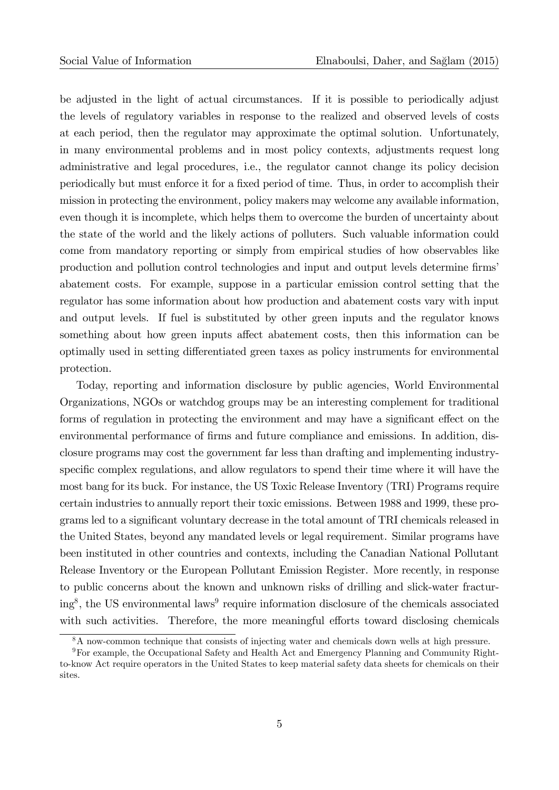be adjusted in the light of actual circumstances. If it is possible to periodically adjust the levels of regulatory variables in response to the realized and observed levels of costs at each period, then the regulator may approximate the optimal solution. Unfortunately, in many environmental problems and in most policy contexts, adjustments request long administrative and legal procedures, i.e., the regulator cannot change its policy decision periodically but must enforce it for a fixed period of time. Thus, in order to accomplish their mission in protecting the environment, policy makers may welcome any available information, even though it is incomplete, which helps them to overcome the burden of uncertainty about the state of the world and the likely actions of polluters. Such valuable information could come from mandatory reporting or simply from empirical studies of how observables like production and pollution control technologies and input and output levels determine firms' abatement costs. For example, suppose in a particular emission control setting that the regulator has some information about how production and abatement costs vary with input and output levels. If fuel is substituted by other green inputs and the regulator knows something about how green inputs affect abatement costs, then this information can be optimally used in setting differentiated green taxes as policy instruments for environmental protection.

Today, reporting and information disclosure by public agencies, World Environmental Organizations, NGOs or watchdog groups may be an interesting complement for traditional forms of regulation in protecting the environment and may have a significant effect on the environmental performance of firms and future compliance and emissions. In addition, disclosure programs may cost the government far less than drafting and implementing industryspecific complex regulations, and allow regulators to spend their time where it will have the most bang for its buck. For instance, the US Toxic Release Inventory (TRI) Programs require certain industries to annually report their toxic emissions. Between 1988 and 1999, these programs led to a significant voluntary decrease in the total amount of TRI chemicals released in the United States, beyond any mandated levels or legal requirement. Similar programs have been instituted in other countries and contexts, including the Canadian National Pollutant Release Inventory or the European Pollutant Emission Register. More recently, in response to public concerns about the known and unknown risks of drilling and slick-water fracturing<sup>8</sup>, the US environmental laws<sup>9</sup> require information disclosure of the chemicals associated with such activities. Therefore, the more meaningful efforts toward disclosing chemicals

<sup>&</sup>lt;sup>8</sup>A now-common technique that consists of injecting water and chemicals down wells at high pressure.

<sup>9</sup>For example, the Occupational Safety and Health Act and Emergency Planning and Community Rightto-know Act require operators in the United States to keep material safety data sheets for chemicals on their sites.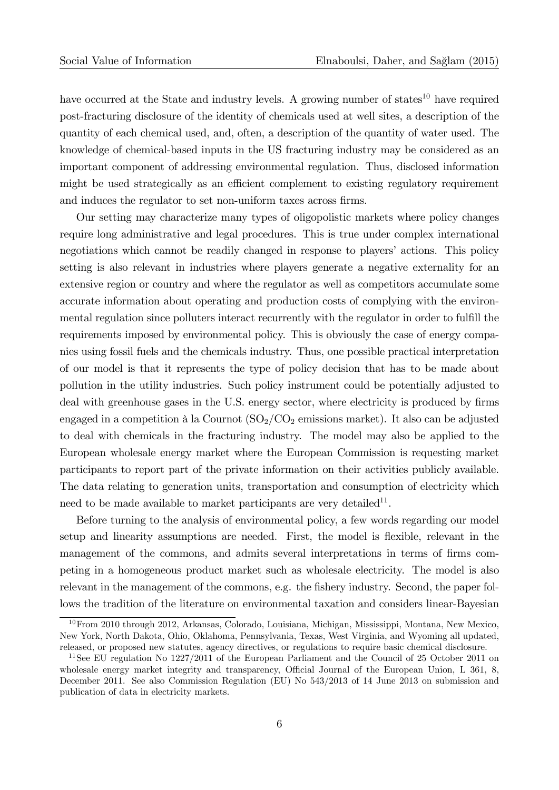have occurred at the State and industry levels. A growing number of states<sup>10</sup> have required post-fracturing disclosure of the identity of chemicals used at well sites, a description of the quantity of each chemical used, and, often, a description of the quantity of water used. The knowledge of chemical-based inputs in the US fracturing industry may be considered as an important component of addressing environmental regulation. Thus, disclosed information might be used strategically as an efficient complement to existing regulatory requirement and induces the regulator to set non-uniform taxes across firms.

Our setting may characterize many types of oligopolistic markets where policy changes require long administrative and legal procedures. This is true under complex international negotiations which cannot be readily changed in response to players' actions. This policy setting is also relevant in industries where players generate a negative externality for an extensive region or country and where the regulator as well as competitors accumulate some accurate information about operating and production costs of complying with the environmental regulation since polluters interact recurrently with the regulator in order to fulfill the requirements imposed by environmental policy. This is obviously the case of energy companies using fossil fuels and the chemicals industry. Thus, one possible practical interpretation of our model is that it represents the type of policy decision that has to be made about pollution in the utility industries. Such policy instrument could be potentially adjusted to deal with greenhouse gases in the U.S. energy sector, where electricity is produced by firms engaged in a competition à la Cournot  $(SO_2/CO_2)$  emissions market). It also can be adjusted to deal with chemicals in the fracturing industry. The model may also be applied to the European wholesale energy market where the European Commission is requesting market participants to report part of the private information on their activities publicly available. The data relating to generation units, transportation and consumption of electricity which need to be made available to market participants are very detailed<sup>11</sup>.

Before turning to the analysis of environmental policy, a few words regarding our model setup and linearity assumptions are needed. First, the model is flexible, relevant in the management of the commons, and admits several interpretations in terms of firms competing in a homogeneous product market such as wholesale electricity. The model is also relevant in the management of the commons, e.g. the fishery industry. Second, the paper follows the tradition of the literature on environmental taxation and considers linear-Bayesian

<sup>&</sup>lt;sup>10</sup>From 2010 through 2012, Arkansas, Colorado, Louisiana, Michigan, Mississippi, Montana, New Mexico, New York, North Dakota, Ohio, Oklahoma, Pennsylvania, Texas, West Virginia, and Wyoming all updated, released, or proposed new statutes, agency directives, or regulations to require basic chemical disclosure.

<sup>&</sup>lt;sup>11</sup>See EU regulation No 1227/2011 of the European Parliament and the Council of 25 October 2011 on wholesale energy market integrity and transparency, Official Journal of the European Union, L 361, 8, December 2011. See also Commission Regulation (EU) No 543/2013 of 14 June 2013 on submission and publication of data in electricity markets.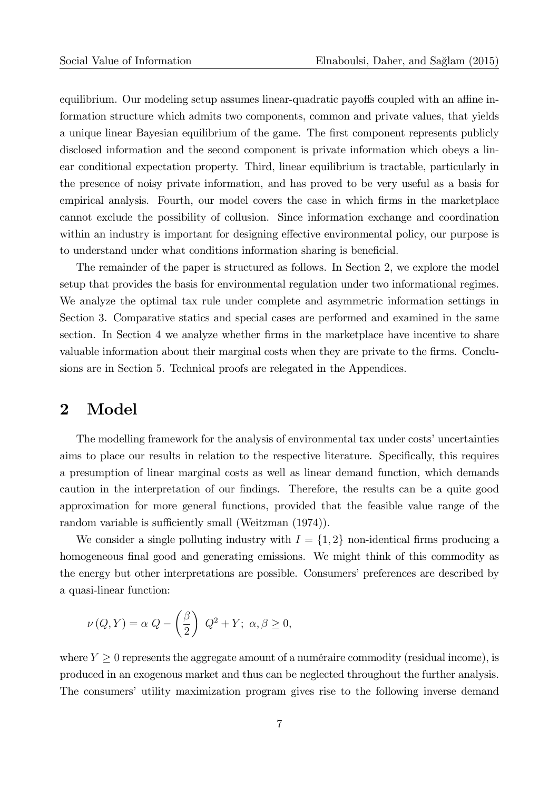equilibrium. Our modeling setup assumes linear-quadratic payoffs coupled with an affine information structure which admits two components, common and private values, that yields a unique linear Bayesian equilibrium of the game. The first component represents publicly disclosed information and the second component is private information which obeys a linear conditional expectation property. Third, linear equilibrium is tractable, particularly in the presence of noisy private information, and has proved to be very useful as a basis for empirical analysis. Fourth, our model covers the case in which Örms in the marketplace cannot exclude the possibility of collusion. Since information exchange and coordination within an industry is important for designing effective environmental policy, our purpose is to understand under what conditions information sharing is beneficial.

The remainder of the paper is structured as follows. In Section 2, we explore the model setup that provides the basis for environmental regulation under two informational regimes. We analyze the optimal tax rule under complete and asymmetric information settings in Section 3. Comparative statics and special cases are performed and examined in the same section. In Section 4 we analyze whether firms in the marketplace have incentive to share valuable information about their marginal costs when they are private to the firms. Conclusions are in Section 5. Technical proofs are relegated in the Appendices.

### 2 Model

The modelling framework for the analysis of environmental tax under costs' uncertainties aims to place our results in relation to the respective literature. Specifically, this requires a presumption of linear marginal costs as well as linear demand function, which demands caution in the interpretation of our findings. Therefore, the results can be a quite good approximation for more general functions, provided that the feasible value range of the random variable is sufficiently small (Weitzman (1974)).

We consider a single polluting industry with  $I = \{1, 2\}$  non-identical firms producing a homogeneous final good and generating emissions. We might think of this commodity as the energy but other interpretations are possible. Consumers' preferences are described by a quasi-linear function:

$$
\nu(Q, Y) = \alpha Q - \left(\frac{\beta}{2}\right) Q^2 + Y; \ \alpha, \beta \ge 0,
$$

where  $Y \geq 0$  represents the aggregate amount of a numéraire commodity (residual income), is produced in an exogenous market and thus can be neglected throughout the further analysis. The consumers' utility maximization program gives rise to the following inverse demand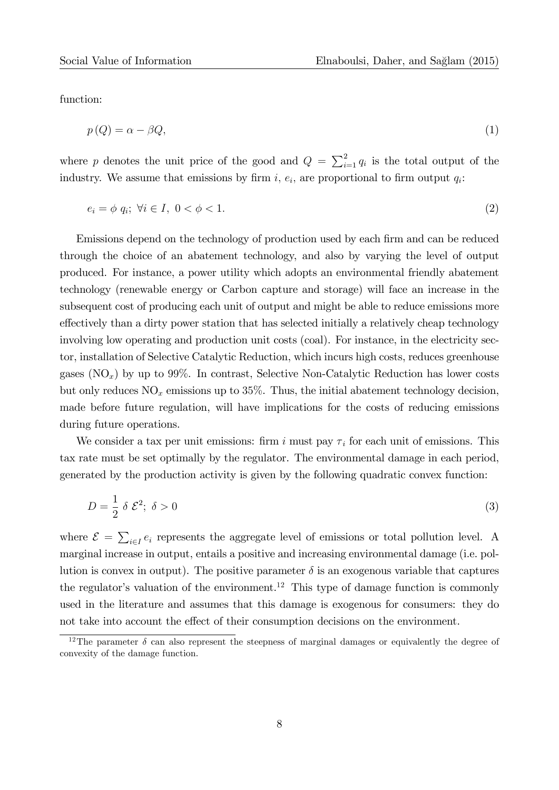function:

$$
p(Q) = \alpha - \beta Q,\tag{1}
$$

where p denotes the unit price of the good and  $Q = \sum_{i=1}^{2} q_i$  is the total output of the industry. We assume that emissions by firm  $i, e_i$ , are proportional to firm output  $q_i$ :

$$
e_i = \phi \ q_i; \ \forall i \in I, \ 0 < \phi < 1. \tag{2}
$$

Emissions depend on the technology of production used by each firm and can be reduced through the choice of an abatement technology, and also by varying the level of output produced. For instance, a power utility which adopts an environmental friendly abatement technology (renewable energy or Carbon capture and storage) will face an increase in the subsequent cost of producing each unit of output and might be able to reduce emissions more effectively than a dirty power station that has selected initially a relatively cheap technology involving low operating and production unit costs (coal). For instance, in the electricity sector, installation of Selective Catalytic Reduction, which incurs high costs, reduces greenhouse gases  $(NO_x)$  by up to 99%. In contrast, Selective Non-Catalytic Reduction has lower costs but only reduces  $NO_x$  emissions up to 35%. Thus, the initial abatement technology decision, made before future regulation, will have implications for the costs of reducing emissions during future operations.

We consider a tax per unit emissions: firm i must pay  $\tau_i$  for each unit of emissions. This tax rate must be set optimally by the regulator. The environmental damage in each period, generated by the production activity is given by the following quadratic convex function:

$$
D = \frac{1}{2} \delta \mathcal{E}^2; \ \delta > 0 \tag{3}
$$

where  $\mathcal{E} = \sum_{i \in I} e_i$  represents the aggregate level of emissions or total pollution level. A marginal increase in output, entails a positive and increasing environmental damage (i.e. pollution is convex in output). The positive parameter  $\delta$  is an exogenous variable that captures the regulator's valuation of the environment.<sup>12</sup> This type of damage function is commonly used in the literature and assumes that this damage is exogenous for consumers: they do not take into account the effect of their consumption decisions on the environment.

<sup>&</sup>lt;sup>12</sup>The parameter  $\delta$  can also represent the steepness of marginal damages or equivalently the degree of convexity of the damage function.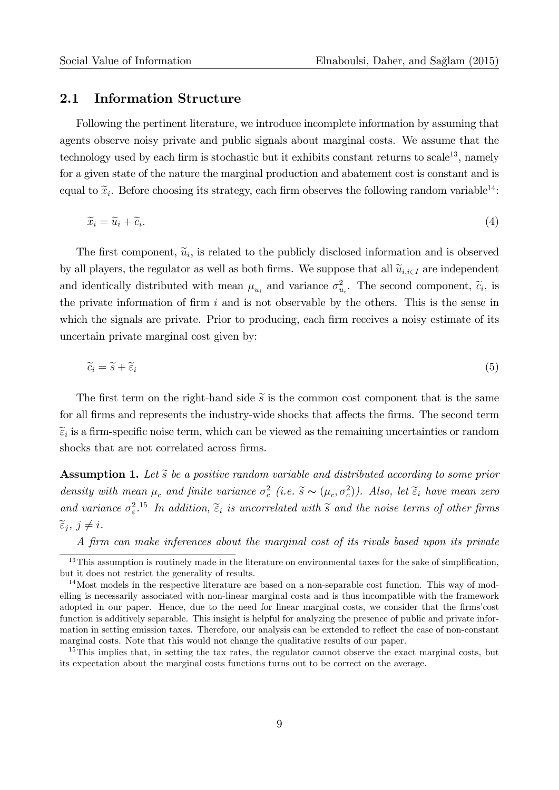#### 2.1 Information Structure

Following the pertinent literature, we introduce incomplete information by assuming that agents observe noisy private and public signals about marginal costs. We assume that the technology used by each firm is stochastic but it exhibits constant returns to scale<sup>13</sup>, namely for a given state of the nature the marginal production and abatement cost is constant and is equal to  $\tilde{x}_i$ . Before choosing its strategy, each firm observes the following random variable<sup>14</sup>:

$$
\widetilde{x}_i = \widetilde{u}_i + \widetilde{c}_i. \tag{4}
$$

The first component,  $\tilde{u}_i$ , is related to the publicly disclosed information and is observed by all players, the regulator as well as both firms. We suppose that all  $\tilde{u}_{i,i\in I}$  are independent and identically distributed with mean  $\mu_{u_i}$  and variance  $\sigma_{u_i}^2$ . The second component,  $\tilde{c}_i$ , is the private information of firm i and is not observable by the others. This is the sense in which the signals are private. Prior to producing, each firm receives a noisy estimate of its uncertain private marginal cost given by:

$$
\widetilde{c}_i = \widetilde{s} + \widetilde{\varepsilon}_i \tag{5}
$$

The first term on the right-hand side  $\tilde{s}$  is the common cost component that is the same for all firms and represents the industry-wide shocks that affects the firms. The second term  $\widetilde{\epsilon}_i$  is a firm-specific noise term, which can be viewed as the remaining uncertainties or random shocks that are not correlated across firms.

**Assumption 1.** Let  $\widetilde{s}$  be a positive random variable and distributed according to some prior density with mean  $\mu_c$  and finite variance  $\sigma_c^2$  (i.e.  $\tilde{s} \sim (\mu_c, \sigma_c^2)$ ). Also, let  $\tilde{\epsilon}_i$  have mean zero and variance  $\sigma_{\varepsilon}^2$ .<sup>15</sup> In addition,  $\widetilde{\varepsilon}_i$  is uncorrelated with  $\widetilde{s}$  and the noise terms of other firms  $\widetilde{\epsilon}_i, j \neq i.$ 

A Örm can make inferences about the marginal cost of its rivals based upon its private

 $13$ This assumption is routinely made in the literature on environmental taxes for the sake of simplification, but it does not restrict the generality of results.

<sup>&</sup>lt;sup>14</sup>Most models in the respective literature are based on a non-separable cost function. This way of modelling is necessarily associated with non-linear marginal costs and is thus incompatible with the framework adopted in our paper. Hence, due to the need for linear marginal costs, we consider that the firms'cost function is additively separable. This insight is helpful for analyzing the presence of public and private information in setting emission taxes. Therefore, our analysis can be extended to reflect the case of non-constant marginal costs. Note that this would not change the qualitative results of our paper.

<sup>&</sup>lt;sup>15</sup>This implies that, in setting the tax rates, the regulator cannot observe the exact marginal costs, but its expectation about the marginal costs functions turns out to be correct on the average.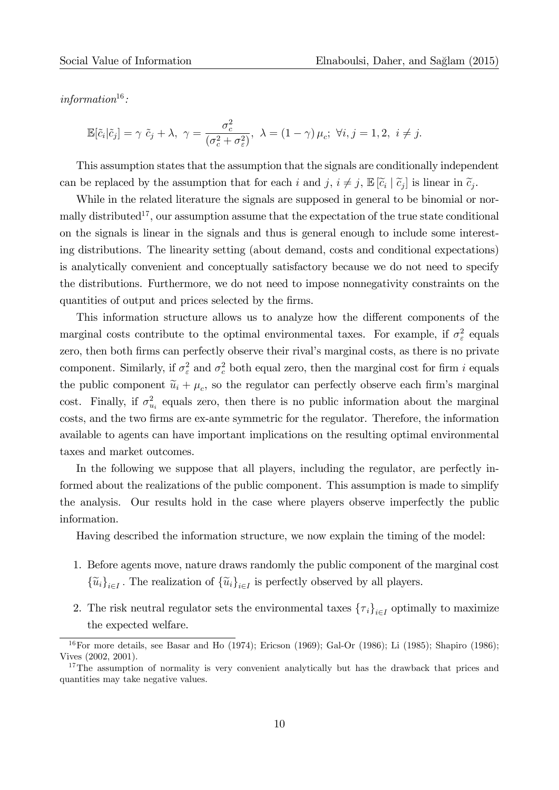information $16$ :

$$
\mathbb{E}[\tilde{c}_i|\tilde{c}_j] = \gamma \ \tilde{c}_j + \lambda, \ \gamma = \frac{\sigma_c^2}{(\sigma_c^2 + \sigma_{\varepsilon}^2)}, \ \lambda = (1 - \gamma) \mu_c; \ \forall i, j = 1, 2, \ i \neq j.
$$

This assumption states that the assumption that the signals are conditionally independent can be replaced by the assumption that for each i and j,  $i \neq j$ ,  $\mathbb{E}[\tilde{c}_i | \tilde{c}_j]$  is linear in  $\tilde{c}_j$ .

While in the related literature the signals are supposed in general to be binomial or normally distributed<sup>17</sup>, our assumption assume that the expectation of the true state conditional on the signals is linear in the signals and thus is general enough to include some interesting distributions. The linearity setting (about demand, costs and conditional expectations) is analytically convenient and conceptually satisfactory because we do not need to specify the distributions. Furthermore, we do not need to impose nonnegativity constraints on the quantities of output and prices selected by the firms.

This information structure allows us to analyze how the different components of the marginal costs contribute to the optimal environmental taxes. For example, if  $\sigma_{\varepsilon}^2$  equals zero, then both firms can perfectly observe their rival's marginal costs, as there is no private component. Similarly, if  $\sigma_{\varepsilon}^2$  and  $\sigma_{c}^2$  both equal zero, then the marginal cost for firm i equals the public component  $\tilde{u}_i + \mu_c$ , so the regulator can perfectly observe each firm's marginal cost. Finally, if  $\sigma_{u_i}^2$  equals zero, then there is no public information about the marginal costs, and the two Örms are ex-ante symmetric for the regulator. Therefore, the information available to agents can have important implications on the resulting optimal environmental taxes and market outcomes.

In the following we suppose that all players, including the regulator, are perfectly informed about the realizations of the public component. This assumption is made to simplify the analysis. Our results hold in the case where players observe imperfectly the public information.

Having described the information structure, we now explain the timing of the model:

- 1. Before agents move, nature draws randomly the public component of the marginal cost  ${\{\widetilde{u}_i\}}_{i \in I}$ . The realization of  ${\{\widetilde{u}_i\}}_{i \in I}$  is perfectly observed by all players.
- 2. The risk neutral regulator sets the environmental taxes  ${\{\tau_i\}}_{i\in I}$  optimally to maximize the expected welfare.

<sup>&</sup>lt;sup>16</sup>For more details, see Basar and Ho (1974); Ericson (1969); Gal-Or (1986); Li (1985); Shapiro (1986); Vives (2002, 2001).

<sup>&</sup>lt;sup>17</sup>The assumption of normality is very convenient analytically but has the drawback that prices and quantities may take negative values.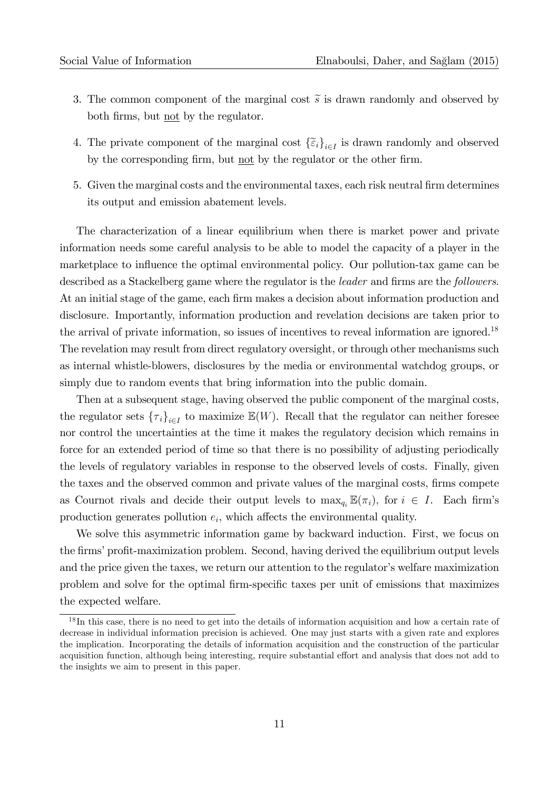- 3. The common component of the marginal cost  $\tilde{s}$  is drawn randomly and observed by both firms, but <u>not</u> by the regulator.
- 4. The private component of the marginal cost  $\{\tilde{\epsilon}_i\}_{i\in I}$  is drawn randomly and observed by the corresponding firm, but not by the regulator or the other firm.
- 5. Given the marginal costs and the environmental taxes, each risk neutral firm determines its output and emission abatement levels.

The characterization of a linear equilibrium when there is market power and private information needs some careful analysis to be able to model the capacity of a player in the marketplace to influence the optimal environmental policy. Our pollution-tax game can be described as a Stackelberg game where the regulator is the *leader* and firms are the *followers*. At an initial stage of the game, each firm makes a decision about information production and disclosure. Importantly, information production and revelation decisions are taken prior to the arrival of private information, so issues of incentives to reveal information are ignored.<sup>18</sup> The revelation may result from direct regulatory oversight, or through other mechanisms such as internal whistle-blowers, disclosures by the media or environmental watchdog groups, or simply due to random events that bring information into the public domain.

Then at a subsequent stage, having observed the public component of the marginal costs, the regulator sets  ${\{\tau_i\}}_{i\in I}$  to maximize  $\mathbb{E}(W)$ . Recall that the regulator can neither foresee nor control the uncertainties at the time it makes the regulatory decision which remains in force for an extended period of time so that there is no possibility of adjusting periodically the levels of regulatory variables in response to the observed levels of costs. Finally, given the taxes and the observed common and private values of the marginal costs, firms compete as Cournot rivals and decide their output levels to  $\max_{q_i} \mathbb{E}(\pi_i)$ , for  $i \in I$ . Each firm's production generates pollution  $e_i$ , which affects the environmental quality.

We solve this asymmetric information game by backward induction. First, we focus on the firms' profit-maximization problem. Second, having derived the equilibrium output levels and the price given the taxes, we return our attention to the regulator's welfare maximization problem and solve for the optimal Örm-speciÖc taxes per unit of emissions that maximizes the expected welfare.

<sup>&</sup>lt;sup>18</sup>In this case, there is no need to get into the details of information acquisition and how a certain rate of decrease in individual information precision is achieved. One may just starts with a given rate and explores the implication. Incorporating the details of information acquisition and the construction of the particular acquisition function, although being interesting, require substantial effort and analysis that does not add to the insights we aim to present in this paper.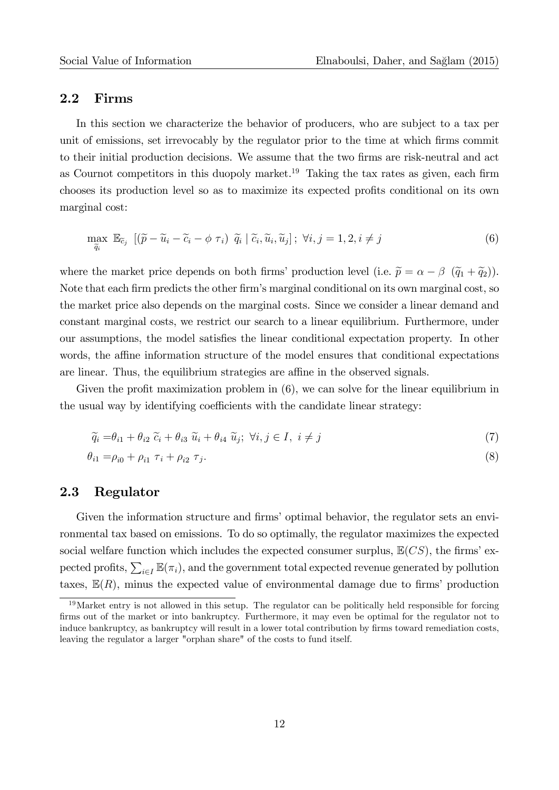#### 2.2 Firms

In this section we characterize the behavior of producers, who are subject to a tax per unit of emissions, set irrevocably by the regulator prior to the time at which Örms commit to their initial production decisions. We assume that the two Örms are risk-neutral and act as Cournot competitors in this duopoly market.<sup>19</sup> Taking the tax rates as given, each firm chooses its production level so as to maximize its expected profits conditional on its own marginal cost:

$$
\max_{\widetilde{q}_i} \mathbb{E}_{\widetilde{c}_j} \left[ (\widetilde{p} - \widetilde{u}_i - \widetilde{c}_i - \phi \tau_i) \ \widetilde{q}_i \ \middle| \ \widetilde{c}_i, \widetilde{u}_i, \widetilde{u}_j \right]; \ \forall i, j = 1, 2, i \neq j \tag{6}
$$

where the market price depends on both firms' production level (i.e.  $\tilde{p} = \alpha - \beta \, (\tilde{q}_1 + \tilde{q}_2)$ ). Note that each firm predicts the other firm's marginal conditional on its own marginal cost, so the market price also depends on the marginal costs. Since we consider a linear demand and constant marginal costs, we restrict our search to a linear equilibrium. Furthermore, under our assumptions, the model satisfies the linear conditional expectation property. In other words, the affine information structure of the model ensures that conditional expectations are linear. Thus, the equilibrium strategies are affine in the observed signals.

Given the profit maximization problem in  $(6)$ , we can solve for the linear equilibrium in the usual way by identifying coefficients with the candidate linear strategy:

$$
\widetilde{q}_i = \theta_{i1} + \theta_{i2} \ \widetilde{c}_i + \theta_{i3} \ \widetilde{u}_i + \theta_{i4} \ \widetilde{u}_j; \ \forall i, j \in I, \ i \neq j \tag{7}
$$

$$
\theta_{i1} = \rho_{i0} + \rho_{i1} \tau_i + \rho_{i2} \tau_j. \tag{8}
$$

#### 2.3 Regulator

Given the information structure and firms' optimal behavior, the regulator sets an environmental tax based on emissions. To do so optimally, the regulator maximizes the expected social welfare function which includes the expected consumer surplus,  $\mathbb{E}(CS)$ , the firms' expected profits,  $\sum_{i\in I} \mathbb{E}(\pi_i)$ , and the government total expected revenue generated by pollution taxes,  $\mathbb{E}(R)$ , minus the expected value of environmental damage due to firms' production

<sup>&</sup>lt;sup>19</sup>Market entry is not allowed in this setup. The regulator can be politically held responsible for forcing firms out of the market or into bankruptcy. Furthermore, it may even be optimal for the regulator not to induce bankruptcy, as bankruptcy will result in a lower total contribution by firms toward remediation costs, leaving the regulator a larger "orphan share" of the costs to fund itself.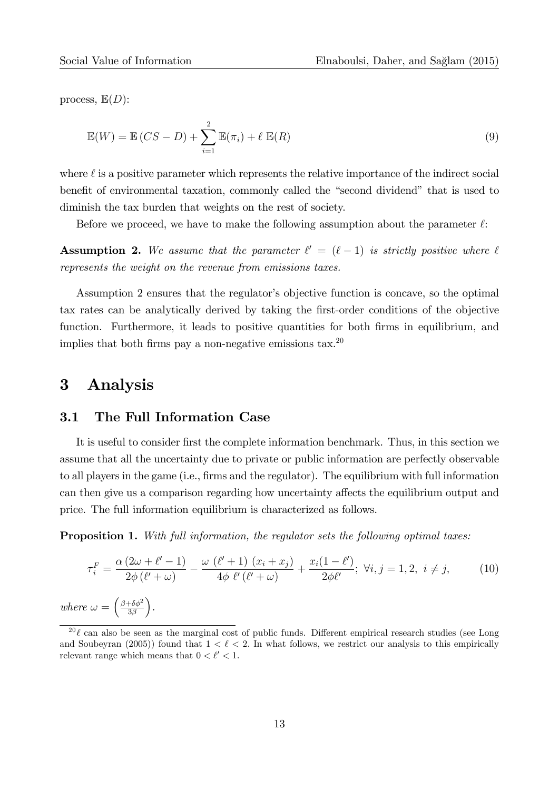process,  $\mathbb{E}(D)$ :

$$
\mathbb{E}(W) = \mathbb{E}(CS - D) + \sum_{i=1}^{2} \mathbb{E}(\pi_i) + \ell \mathbb{E}(R)
$$
\n(9)

where  $\ell$  is a positive parameter which represents the relative importance of the indirect social benefit of environmental taxation, commonly called the "second dividend" that is used to diminish the tax burden that weights on the rest of society.

Before we proceed, we have to make the following assumption about the parameter  $\ell$ :

**Assumption 2.** We assume that the parameter  $\ell' = (\ell - 1)$  is strictly positive where  $\ell$ represents the weight on the revenue from emissions taxes.

Assumption 2 ensures that the regulator's objective function is concave, so the optimal tax rates can be analytically derived by taking the first-order conditions of the objective function. Furthermore, it leads to positive quantities for both firms in equilibrium, and implies that both firms pay a non-negative emissions tax.<sup>20</sup>

### 3 Analysis

#### 3.1 The Full Information Case

It is useful to consider first the complete information benchmark. Thus, in this section we assume that all the uncertainty due to private or public information are perfectly observable to all players in the game (i.e., firms and the regulator). The equilibrium with full information can then give us a comparison regarding how uncertainty affects the equilibrium output and price. The full information equilibrium is characterized as follows.

**Proposition 1.** With full information, the regulator sets the following optimal taxes:

$$
\tau_i^F = \frac{\alpha (2\omega + \ell' - 1)}{2\phi (\ell' + \omega)} - \frac{\omega (\ell' + 1) (x_i + x_j)}{4\phi \ell' (\ell' + \omega)} + \frac{x_i (1 - \ell')}{2\phi \ell'}; \ \forall i, j = 1, 2, \ i \neq j,
$$
\n
$$
(10)
$$

where  $\omega = \left(\frac{\beta + \delta\phi^2}{3\beta}\right)$  $3\beta$ .

 $20 \ell$  can also be seen as the marginal cost of public funds. Different empirical research studies (see Long and Soubeyran (2005)) found that  $1 < \ell < 2$ . In what follows, we restrict our analysis to this empirically relevant range which means that  $0 < l' < 1$ .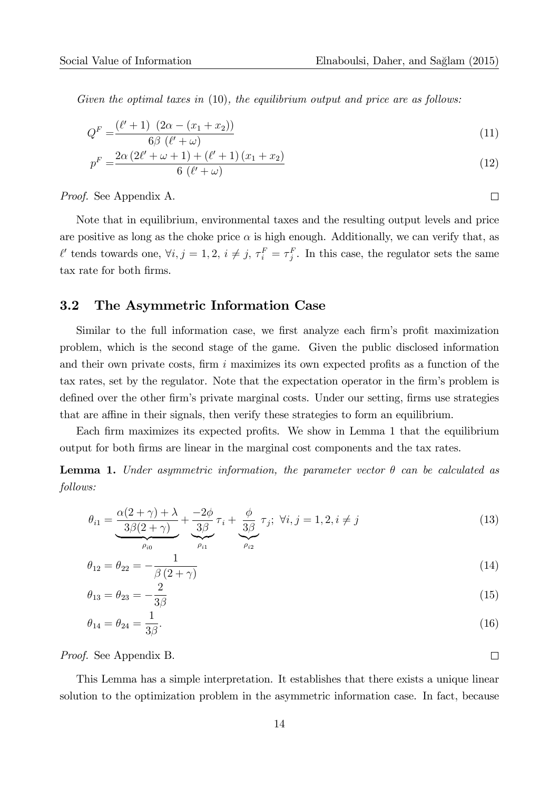Given the optimal taxes in  $(10)$ , the equilibrium output and price are as follows:

$$
Q^{F} = \frac{(\ell' + 1) (2\alpha - (x_1 + x_2))}{6\beta (\ell' + \omega)}
$$
\n(11)

$$
p^{F} = \frac{2\alpha (2\ell' + \omega + 1) + (\ell' + 1) (x_1 + x_2)}{6 (\ell' + \omega)}
$$
\n(12)

Proof. See Appendix A.

Note that in equilibrium, environmental taxes and the resulting output levels and price are positive as long as the choke price  $\alpha$  is high enough. Additionally, we can verify that, as  $\ell'$  tends towards one,  $\forall i, j = 1, 2, i \neq j$ ,  $\tau_i^F = \tau_j^F$ . In this case, the regulator sets the same tax rate for both firms.

#### 3.2 The Asymmetric Information Case

Similar to the full information case, we first analyze each firm's profit maximization problem, which is the second stage of the game. Given the public disclosed information and their own private costs, firm  $i$  maximizes its own expected profits as a function of the tax rates, set by the regulator. Note that the expectation operator in the firm's problem is defined over the other firm's private marginal costs. Under our setting, firms use strategies that are affine in their signals, then verify these strategies to form an equilibrium.

Each firm maximizes its expected profits. We show in Lemma 1 that the equilibrium output for both Örms are linear in the marginal cost components and the tax rates.

**Lemma 1.** Under asymmetric information, the parameter vector  $\theta$  can be calculated as follows:

$$
\theta_{i1} = \underbrace{\frac{\alpha(2+\gamma)+\lambda}{3\beta(2+\gamma)}}_{\rho_{i0}} + \underbrace{\frac{-2\phi}{3\beta}}_{\rho_{i1}} \tau_i + \underbrace{\frac{\phi}{3\beta}}_{\rho_{i2}} \tau_j; \ \forall i, j = 1, 2, i \neq j \tag{13}
$$

$$
\theta_{12} = \theta_{22} = -\frac{1}{\beta (2 + \gamma)}
$$
(14)

$$
\theta_{13} = \theta_{23} = -\frac{2}{3\beta} \tag{15}
$$

$$
\theta_{14} = \theta_{24} = \frac{1}{3\beta}.\tag{16}
$$

Proof. See Appendix B.

This Lemma has a simple interpretation. It establishes that there exists a unique linear solution to the optimization problem in the asymmetric information case. In fact, because

 $\Box$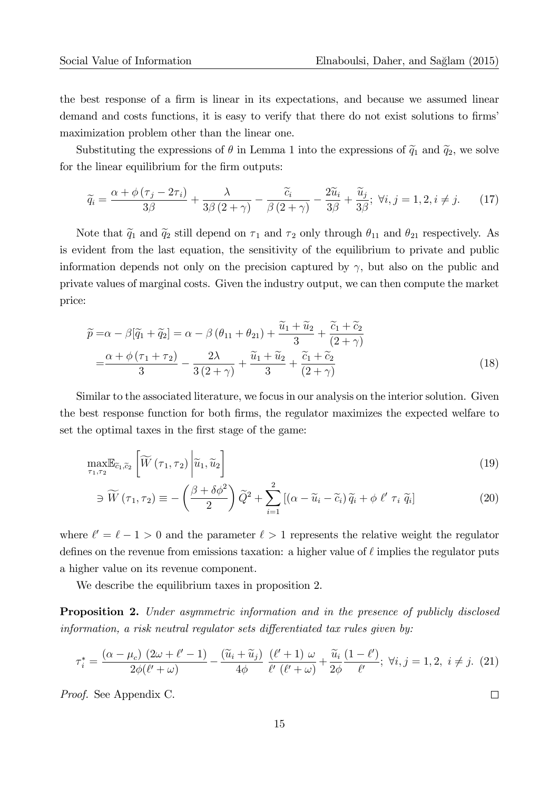the best response of a firm is linear in its expectations, and because we assumed linear demand and costs functions, it is easy to verify that there do not exist solutions to firms maximization problem other than the linear one.

Substituting the expressions of  $\theta$  in Lemma 1 into the expressions of  $\tilde{q}_1$  and  $\tilde{q}_2$ , we solve for the linear equilibrium for the firm outputs:

$$
\widetilde{q}_i = \frac{\alpha + \phi(\tau_j - 2\tau_i)}{3\beta} + \frac{\lambda}{3\beta(2+\gamma)} - \frac{\widetilde{c}_i}{\beta(2+\gamma)} - \frac{2\widetilde{u}_i}{3\beta} + \frac{\widetilde{u}_j}{3\beta}; \ \forall i, j = 1, 2, i \neq j. \tag{17}
$$

Note that  $\tilde{q}_1$  and  $\tilde{q}_2$  still depend on  $\tau_1$  and  $\tau_2$  only through  $\theta_{11}$  and  $\theta_{21}$  respectively. As is evident from the last equation, the sensitivity of the equilibrium to private and public information depends not only on the precision captured by  $\gamma$ , but also on the public and private values of marginal costs. Given the industry output, we can then compute the market price:

$$
\widetilde{p} = \alpha - \beta[\widetilde{q}_1 + \widetilde{q}_2] = \alpha - \beta(\theta_{11} + \theta_{21}) + \frac{\widetilde{u}_1 + \widetilde{u}_2}{3} + \frac{\widetilde{c}_1 + \widetilde{c}_2}{(2 + \gamma)}
$$

$$
= \frac{\alpha + \phi(\tau_1 + \tau_2)}{3} - \frac{2\lambda}{3(2 + \gamma)} + \frac{\widetilde{u}_1 + \widetilde{u}_2}{3} + \frac{\widetilde{c}_1 + \widetilde{c}_2}{(2 + \gamma)}
$$
(18)

Similar to the associated literature, we focus in our analysis on the interior solution. Given the best response function for both firms, the regulator maximizes the expected welfare to set the optimal taxes in the first stage of the game:

$$
\max_{\tau_1, \tau_2} \mathbb{E}_{\tilde{c}_1, \tilde{c}_2} \left[ \widetilde{W} \left( \tau_1, \tau_2 \right) \middle| \widetilde{u}_1, \widetilde{u}_2 \right] \tag{19}
$$

$$
\ni \widetilde{W}(\tau_1, \tau_2) \equiv -\left(\frac{\beta + \delta\phi^2}{2}\right)\widetilde{Q}^2 + \sum_{i=1}^2 \left[ (\alpha - \widetilde{u}_i - \widetilde{c}_i)\widetilde{q}_i + \phi \ell' \tau_i \widetilde{q}_i \right] \tag{20}
$$

where  $\ell' = \ell - 1 > 0$  and the parameter  $\ell > 1$  represents the relative weight the regulator defines on the revenue from emissions taxation: a higher value of  $\ell$  implies the regulator puts a higher value on its revenue component.

We describe the equilibrium taxes in proposition 2.

**Proposition 2.** Under asymmetric information and in the presence of publicly disclosed information, a risk neutral regulator sets differentiated tax rules given by:

$$
\tau_i^* = \frac{(\alpha - \mu_c) (2\omega + \ell' - 1)}{2\phi(\ell' + \omega)} - \frac{(\widetilde{u}_i + \widetilde{u}_j)}{4\phi} \frac{(\ell' + 1) \omega}{\ell' (\ell' + \omega)} + \frac{\widetilde{u}_i (1 - \ell')}{2\phi} ; \ \forall i, j = 1, 2, \ i \neq j. \tag{21}
$$

Proof. See Appendix C.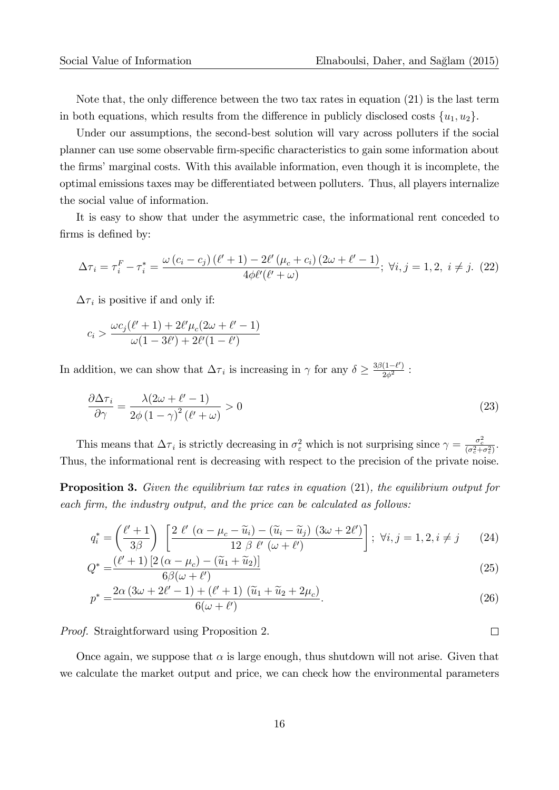Note that, the only difference between the two tax rates in equation  $(21)$  is the last term in both equations, which results from the difference in publicly disclosed costs  $\{u_1, u_2\}$ .

Under our assumptions, the second-best solution will vary across polluters if the social planner can use some observable firm-specific characteristics to gain some information about the firms' marginal costs. With this available information, even though it is incomplete, the optimal emissions taxes may be differentiated between polluters. Thus, all players internalize the social value of information.

It is easy to show that under the asymmetric case, the informational rent conceded to firms is defined by:

$$
\Delta \tau_i = \tau_i^F - \tau_i^* = \frac{\omega (c_i - c_j) (\ell' + 1) - 2\ell' (\mu_c + c_i) (2\omega + \ell' - 1)}{4\phi \ell' (\ell' + \omega)}; \ \forall i, j = 1, 2, \ i \neq j. \tag{22}
$$

 $\Delta\tau_i$  is positive if and only if:

$$
c_i > \frac{\omega c_j(\ell'+1) + 2\ell'\mu_c(2\omega + \ell'-1)}{\omega(1 - 3\ell') + 2\ell'(1 - \ell')}
$$

In addition, we can show that  $\Delta \tau_i$  is increasing in  $\gamma$  for any  $\delta \geq \frac{3\beta(1-\ell')}{2\phi^2}$  $\frac{(1-\ell)}{2\phi^2}$ :

$$
\frac{\partial \Delta \tau_i}{\partial \gamma} = \frac{\lambda (2\omega + \ell' - 1)}{2\phi (1 - \gamma)^2 (\ell' + \omega)} > 0
$$
\n(23)

This means that  $\Delta \tau_i$  is strictly decreasing in  $\sigma_\varepsilon^2$  which is not surprising since  $\gamma = \frac{\sigma_c^2}{(\sigma_c^2 + \sigma_\varepsilon^2)}$ . Thus, the informational rent is decreasing with respect to the precision of the private noise.

**Proposition 3.** Given the equilibrium tax rates in equation (21), the equilibrium output for each firm, the industry output, and the price can be calculated as follows:

$$
q_i^* = \left(\frac{\ell'+1}{3\beta}\right) \left[\frac{2 \ell' \left(\alpha - \mu_c - \widetilde{u}_i\right) - (\widetilde{u}_i - \widetilde{u}_j) \ (3\omega + 2\ell')}{12 \beta \ \ell' \ (\omega + \ell')}\right]; \ \forall i, j = 1, 2, i \neq j \tag{24}
$$

$$
Q^* = \frac{(\ell' + 1) \left[2\left(\alpha - \mu_c\right) - \left(\widetilde{u}_1 + \widetilde{u}_2\right)\right]}{6\beta(\omega + \ell')}
$$
\n(25)

$$
p^* = \frac{2\alpha (3\omega + 2\ell' - 1) + (\ell' + 1) (\tilde{u}_1 + \tilde{u}_2 + 2\mu_c)}{6(\omega + \ell')}.
$$
\n(26)

Proof. Straightforward using Proposition 2.

Once again, we suppose that  $\alpha$  is large enough, thus shutdown will not arise. Given that we calculate the market output and price, we can check how the environmental parameters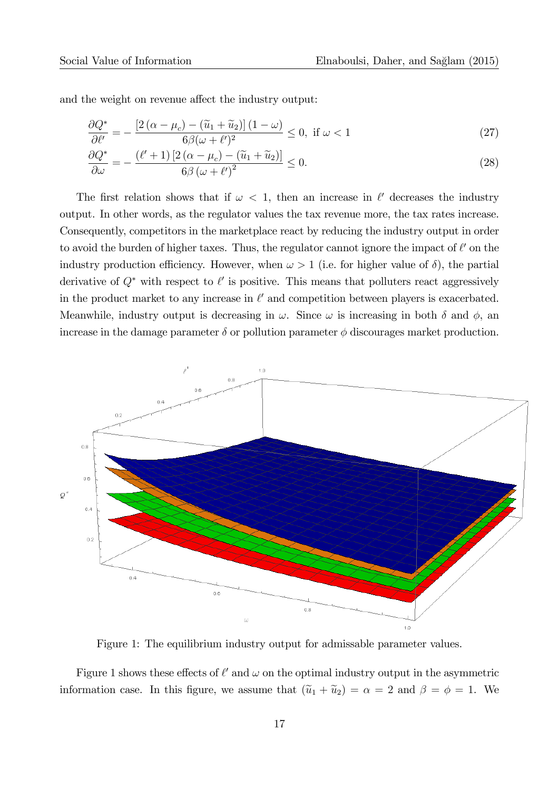and the weight on revenue affect the industry output:

$$
\frac{\partial Q^*}{\partial \ell'} = -\frac{\left[2\left(\alpha - \mu_c\right) - \left(\widetilde{u}_1 + \widetilde{u}_2\right)\right]\left(1 - \omega\right)}{6\beta(\omega + \ell')^2} \le 0, \text{ if } \omega < 1\tag{27}
$$

$$
\frac{\partial Q^*}{\partial \omega} = -\frac{\left(\ell' + 1\right) \left[2\left(\alpha - \mu_c\right) - \left(\tilde{u}_1 + \tilde{u}_2\right)\right]}{6\beta \left(\omega + \ell'\right)^2} \le 0.
$$
\n(28)

The first relation shows that if  $\omega < 1$ , then an increase in  $\ell'$  decreases the industry output. In other words, as the regulator values the tax revenue more, the tax rates increase. Consequently, competitors in the marketplace react by reducing the industry output in order to avoid the burden of higher taxes. Thus, the regulator cannot ignore the impact of  $\ell'$  on the industry production efficiency. However, when  $\omega > 1$  (i.e. for higher value of  $\delta$ ), the partial derivative of  $Q^*$  with respect to  $\ell'$  is positive. This means that polluters react aggressively in the product market to any increase in  $\ell'$  and competition between players is exacerbated. Meanwhile, industry output is decreasing in  $\omega$ . Since  $\omega$  is increasing in both  $\delta$  and  $\phi$ , and increase in the damage parameter  $\delta$  or pollution parameter  $\phi$  discourages market production.



Figure 1: The equilibrium industry output for admissable parameter values.

Figure 1 shows these effects of  $\ell'$  and  $\omega$  on the optimal industry output in the asymmetric information case. In this figure, we assume that  $(\tilde{u}_1 + \tilde{u}_2) = \alpha = 2$  and  $\beta = \phi = 1$ . We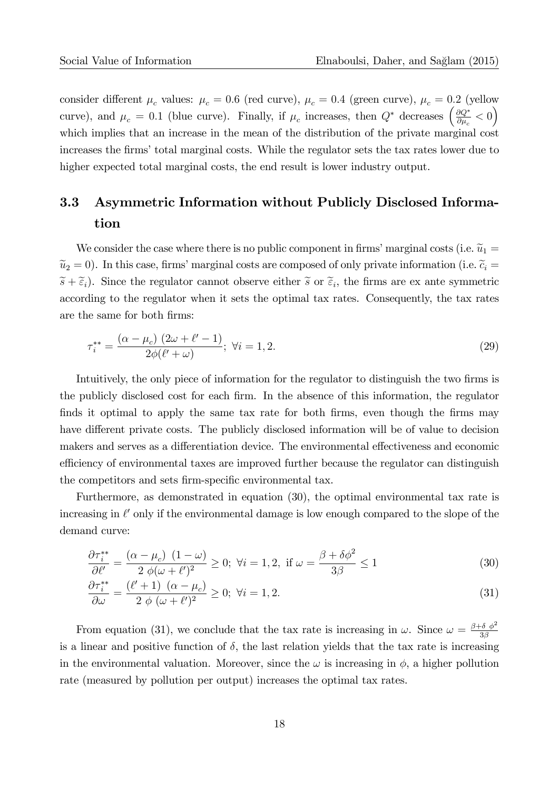consider different  $\mu_c$  values:  $\mu_c = 0.6$  (red curve),  $\mu_c = 0.4$  (green curve),  $\mu_c = 0.2$  (yellow curve), and  $\mu_c = 0.1$  (blue curve). Finally, if  $\mu_c$  increases, then  $Q^*$  decreases  $\left(\frac{\partial Q^*}{\partial \mu_c}\right)$  $\frac{\partial Q^*}{\partial \mu_c} < 0\bigg)$ which implies that an increase in the mean of the distribution of the private marginal cost increases the firms' total marginal costs. While the regulator sets the tax rates lower due to higher expected total marginal costs, the end result is lower industry output.

### 3.3 Asymmetric Information without Publicly Disclosed Information

We consider the case where there is no public component in firms' marginal costs (i.e.  $\widetilde{u}_1 =$  $\tilde{u}_2 = 0$ ). In this case, firms' marginal costs are composed of only private information (i.e.  $\tilde{c}_i =$  $\widetilde{s} + \widetilde{\epsilon}_i$ ). Since the regulator cannot observe either  $\widetilde{s}$  or  $\widetilde{\epsilon}_i$ , the firms are ex ante symmetric according to the regulator when it sets the optimal tax rates. Consequently, the tax rates are the same for both firms:

$$
\tau_i^{**} = \frac{(\alpha - \mu_c) (2\omega + \ell' - 1)}{2\phi(\ell' + \omega)}; \ \forall i = 1, 2. \tag{29}
$$

Intuitively, the only piece of information for the regulator to distinguish the two firms is the publicly disclosed cost for each firm. In the absence of this information, the regulator finds it optimal to apply the same tax rate for both firms, even though the firms may have different private costs. The publicly disclosed information will be of value to decision makers and serves as a differentiation device. The environmental effectiveness and economic efficiency of environmental taxes are improved further because the regulator can distinguish the competitors and sets firm-specific environmental tax.

Furthermore, as demonstrated in equation (30), the optimal environmental tax rate is increasing in  $\ell'$  only if the environmental damage is low enough compared to the slope of the demand curve:

$$
\frac{\partial \tau_i^{**}}{\partial \ell'} = \frac{(\alpha - \mu_c) (1 - \omega)}{2 \phi (\omega + \ell')^2} \ge 0; \ \forall i = 1, 2, \ \text{if } \omega = \frac{\beta + \delta \phi^2}{3\beta} \le 1 \tag{30}
$$

$$
\frac{\partial \tau_i^{**}}{\partial \omega} = \frac{(\ell' + 1) \ (\alpha - \mu_c)}{2 \ \phi \ (\omega + \ell')^2} \ge 0; \ \forall i = 1, 2. \tag{31}
$$

From equation (31), we conclude that the tax rate is increasing in  $\omega$ . Since  $\omega = \frac{\beta + \delta \phi^2}{3\beta}$  $3\beta$ is a linear and positive function of  $\delta$ , the last relation yields that the tax rate is increasing in the environmental valuation. Moreover, since the  $\omega$  is increasing in  $\phi$ , a higher pollution rate (measured by pollution per output) increases the optimal tax rates.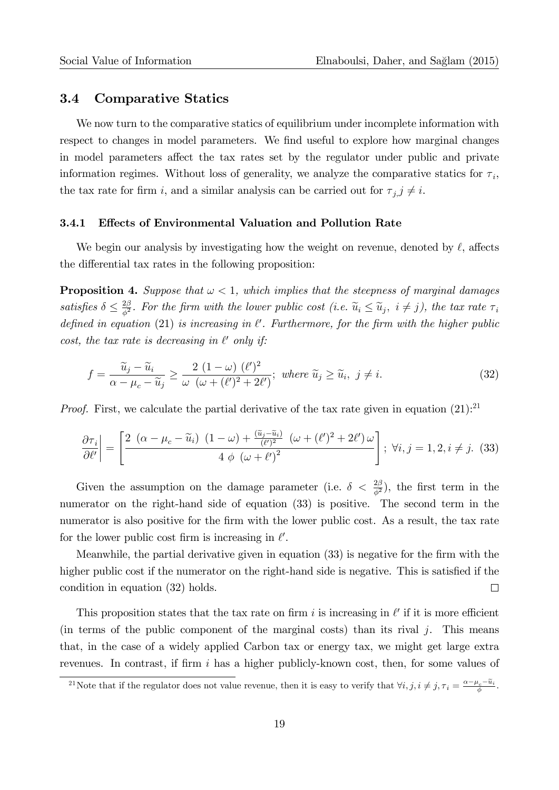#### 3.4 Comparative Statics

We now turn to the comparative statics of equilibrium under incomplete information with respect to changes in model parameters. We find useful to explore how marginal changes in model parameters affect the tax rates set by the regulator under public and private information regimes. Without loss of generality, we analyze the comparative statics for  $\tau_i$ , the tax rate for firm i, and a similar analysis can be carried out for  $\tau_{j}$ ,  $j \neq i$ .

#### 3.4.1 Effects of Environmental Valuation and Pollution Rate

We begin our analysis by investigating how the weight on revenue, denoted by  $\ell$ , affects the differential tax rates in the following proposition:

**Proposition 4.** Suppose that  $\omega < 1$ , which implies that the steepness of marginal damages satisfies  $\delta \leq \frac{2\beta}{\phi^2}$  $\frac{2\beta}{\phi^2}$ . For the firm with the lower public cost (i.e.  $\widetilde{u}_i \leq \widetilde{u}_j$ ,  $i \neq j$ ), the tax rate  $\tau_i$ defined in equation (21) is increasing in  $\ell'$ . Furthermore, for the firm with the higher public cost, the tax rate is decreasing in  $\ell'$  only if:

$$
f = \frac{\widetilde{u}_j - \widetilde{u}_i}{\alpha - \mu_c - \widetilde{u}_j} \ge \frac{2(1 - \omega)(\ell')^2}{\omega(\omega + (\ell')^2 + 2\ell')}; \text{ where } \widetilde{u}_j \ge \widetilde{u}_i, \ j \ne i. \tag{32}
$$

*Proof.* First, we calculate the partial derivative of the tax rate given in equation  $(21):^{21}$ 

$$
\frac{\partial \tau_i}{\partial \ell'}\bigg| = \left[\frac{2(\alpha - \mu_c - \widetilde{u}_i)(1 - \omega) + \frac{(\widetilde{u}_j - \widetilde{u}_i)}{(\ell')^2} (\omega + (\ell')^2 + 2\ell')\omega}{4\phi(\omega + \ell')^2}\right]; \ \forall i, j = 1, 2, i \neq j. \tag{33}
$$

Given the assumption on the damage parameter (i.e.  $\delta < \frac{2\beta}{\phi^2}$ ), the first term in the numerator on the right-hand side of equation (33) is positive. The second term in the numerator is also positive for the firm with the lower public cost. As a result, the tax rate for the lower public cost firm is increasing in  $\ell'$ .

Meanwhile, the partial derivative given in equation (33) is negative for the Örm with the higher public cost if the numerator on the right-hand side is negative. This is satisfied if the  $\Box$ condition in equation (32) holds.

This proposition states that the tax rate on firm i is increasing in  $\ell'$  if it is more efficient (in terms of the public component of the marginal costs) than its rival  $j$ . This means that, in the case of a widely applied Carbon tax or energy tax, we might get large extra revenues. In contrast, if firm  $i$  has a higher publicly-known cost, then, for some values of

<sup>&</sup>lt;sup>21</sup>Note that if the regulator does not value revenue, then it is easy to verify that  $\forall i, j, i \neq j, \tau_i = \frac{\alpha - \mu_c - \tilde{u}_i}{\phi}$ .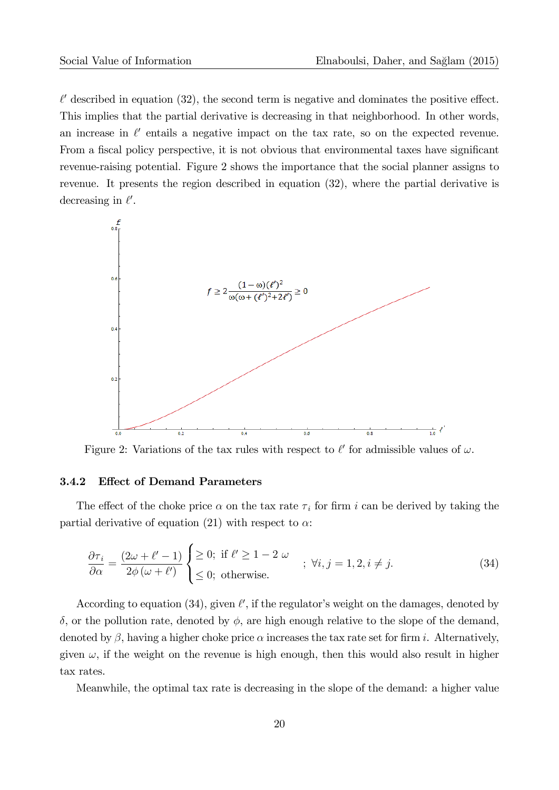$\ell'$  described in equation (32), the second term is negative and dominates the positive effect. This implies that the partial derivative is decreasing in that neighborhood. In other words, an increase in  $\ell'$  entails a negative impact on the tax rate, so on the expected revenue. From a fiscal policy perspective, it is not obvious that environmental taxes have significant revenue-raising potential. Figure 2 shows the importance that the social planner assigns to revenue. It presents the region described in equation (32), where the partial derivative is decreasing in  $\ell'$ .



Figure 2: Variations of the tax rules with respect to  $\ell'$  for admissible values of  $\omega$ .

#### 3.4.2 Effect of Demand Parameters

The effect of the choke price  $\alpha$  on the tax rate  $\tau_i$  for firm i can be derived by taking the partial derivative of equation (21) with respect to  $\alpha$ :

$$
\frac{\partial \tau_i}{\partial \alpha} = \frac{(2\omega + \ell' - 1)}{2\phi(\omega + \ell')} \begin{cases} \geq 0; \text{ if } \ell' \geq 1 - 2 \omega \\ \leq 0; \text{ otherwise.} \end{cases} ; \ \forall i, j = 1, 2, i \neq j. \tag{34}
$$

According to equation (34), given  $\ell'$ , if the regulator's weight on the damages, denoted by  $\delta$ , or the pollution rate, denoted by  $\phi$ , are high enough relative to the slope of the demand, denoted by  $\beta$ , having a higher choke price  $\alpha$  increases the tax rate set for firm i. Alternatively, given  $\omega$ , if the weight on the revenue is high enough, then this would also result in higher tax rates.

Meanwhile, the optimal tax rate is decreasing in the slope of the demand: a higher value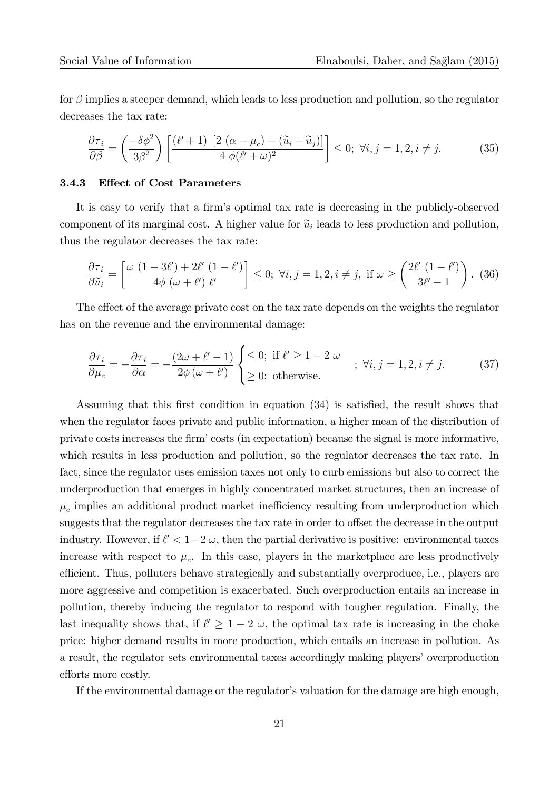for  $\beta$  implies a steeper demand, which leads to less production and pollution, so the regulator decreases the tax rate:

$$
\frac{\partial \tau_i}{\partial \beta} = \left(\frac{-\delta \phi^2}{3\beta^2}\right) \left[ \frac{(\ell'+1) \left[2\left(\alpha - \mu_c\right) - (\widetilde{u}_i + \widetilde{u}_j)\right]}{4\ \phi(\ell'+\omega)^2} \right] \le 0; \ \forall i, j = 1, 2, i \neq j. \tag{35}
$$

#### 3.4.3 Effect of Cost Parameters

It is easy to verify that a firm's optimal tax rate is decreasing in the publicly-observed component of its marginal cost. A higher value for  $\tilde{u}_i$  leads to less production and pollution, thus the regulator decreases the tax rate:

$$
\frac{\partial \tau_i}{\partial \widetilde{u}_i} = \left[ \frac{\omega (1 - 3\ell') + 2\ell' (1 - \ell')}{4\phi (\omega + \ell') \ell'} \right] \le 0; \ \forall i, j = 1, 2, i \neq j, \ \text{if } \omega \ge \left( \frac{2\ell' (1 - \ell')}{3\ell' - 1} \right). \tag{36}
$$

The effect of the average private cost on the tax rate depends on the weights the regulator has on the revenue and the environmental damage:

$$
\frac{\partial \tau_i}{\partial \mu_c} = -\frac{\partial \tau_i}{\partial \alpha} = -\frac{(2\omega + \ell' - 1)}{2\phi(\omega + \ell')} \begin{cases} \leq 0; & \text{if } \ell' \geq 1 - 2 \omega \\ \geq 0; & \text{otherwise.} \end{cases} ; \ \forall i, j = 1, 2, i \neq j. \tag{37}
$$

Assuming that this first condition in equation  $(34)$  is satisfied, the result shows that when the regulator faces private and public information, a higher mean of the distribution of private costs increases the Örmícosts (in expectation) because the signal is more informative, which results in less production and pollution, so the regulator decreases the tax rate. In fact, since the regulator uses emission taxes not only to curb emissions but also to correct the underproduction that emerges in highly concentrated market structures, then an increase of  $\mu_c$  implies an additional product market inefficiency resulting from underproduction which suggests that the regulator decreases the tax rate in order to offset the decrease in the output industry. However, if  $\ell' < 1-2 \omega$ , then the partial derivative is positive: environmental taxes increase with respect to  $\mu_c$ . In this case, players in the marketplace are less productively efficient. Thus, polluters behave strategically and substantially overproduce, i.e., players are more aggressive and competition is exacerbated. Such overproduction entails an increase in pollution, thereby inducing the regulator to respond with tougher regulation. Finally, the last inequality shows that, if  $\ell' \geq 1 - 2 \omega$ , the optimal tax rate is increasing in the choke price: higher demand results in more production, which entails an increase in pollution. As a result, the regulator sets environmental taxes accordingly making players' overproduction efforts more costly.

If the environmental damage or the regulator's valuation for the damage are high enough,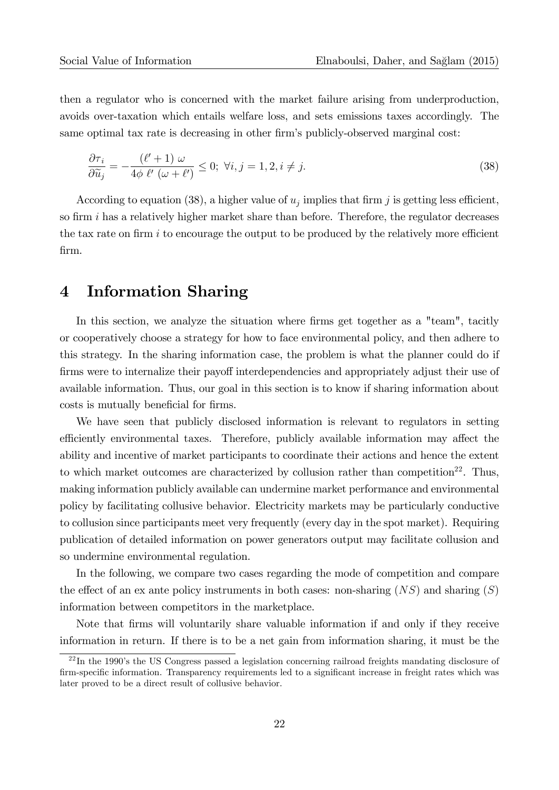then a regulator who is concerned with the market failure arising from underproduction, avoids over-taxation which entails welfare loss, and sets emissions taxes accordingly. The same optimal tax rate is decreasing in other firm's publicly-observed marginal cost:

$$
\frac{\partial \tau_i}{\partial \widetilde{u}_j} = -\frac{(\ell' + 1) \omega}{4\phi \ \ell' \ (\omega + \ell')} \le 0; \ \forall i, j = 1, 2, i \ne j.
$$
\n(38)

According to equation (38), a higher value of  $u_j$  implies that firm j is getting less efficient, so firm  $i$  has a relatively higher market share than before. Therefore, the regulator decreases the tax rate on firm i to encourage the output to be produced by the relatively more efficient Örm.

### 4 Information Sharing

In this section, we analyze the situation where firms get together as a "team", tacitly or cooperatively choose a strategy for how to face environmental policy, and then adhere to this strategy. In the sharing information case, the problem is what the planner could do if firms were to internalize their payoff interdependencies and appropriately adjust their use of available information. Thus, our goal in this section is to know if sharing information about costs is mutually beneficial for firms.

We have seen that publicly disclosed information is relevant to regulators in setting efficiently environmental taxes. Therefore, publicly available information may affect the ability and incentive of market participants to coordinate their actions and hence the extent to which market outcomes are characterized by collusion rather than competition<sup>22</sup>. Thus, making information publicly available can undermine market performance and environmental policy by facilitating collusive behavior. Electricity markets may be particularly conductive to collusion since participants meet very frequently (every day in the spot market). Requiring publication of detailed information on power generators output may facilitate collusion and so undermine environmental regulation.

In the following, we compare two cases regarding the mode of competition and compare the effect of an ex ante policy instruments in both cases: non-sharing  $(NS)$  and sharing  $(S)$ information between competitors in the marketplace.

Note that firms will voluntarily share valuable information if and only if they receive information in return. If there is to be a net gain from information sharing, it must be the

 $^{22}$ In the 1990's the US Congress passed a legislation concerning railroad freights mandating disclosure of firm-specific information. Transparency requirements led to a significant increase in freight rates which was later proved to be a direct result of collusive behavior.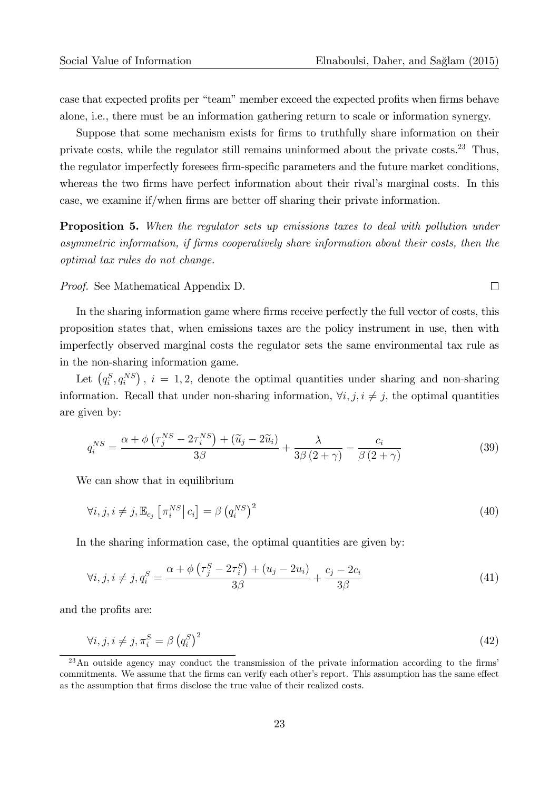case that expected profits per "team" member exceed the expected profits when firms behave alone, i.e., there must be an information gathering return to scale or information synergy.

Suppose that some mechanism exists for firms to truthfully share information on their private costs, while the regulator still remains uninformed about the private costs.<sup>23</sup> Thus, the regulator imperfectly foresees firm-specific parameters and the future market conditions, whereas the two firms have perfect information about their rival's marginal costs. In this case, we examine if/when firms are better off sharing their private information.

**Proposition 5.** When the regulator sets up emissions taxes to deal with pollution under asymmetric information, if Örms cooperatively share information about their costs, then the optimal tax rules do not change.

Proof. See Mathematical Appendix D.

In the sharing information game where firms receive perfectly the full vector of costs, this proposition states that, when emissions taxes are the policy instrument in use, then with imperfectly observed marginal costs the regulator sets the same environmental tax rule as in the non-sharing information game.

Let  $(q_i^S, q_i^{NS})$ ,  $i = 1, 2$ , denote the optimal quantities under sharing and non-sharing information. Recall that under non-sharing information,  $\forall i, j, i \neq j$ , the optimal quantities are given by:

$$
q_i^{NS} = \frac{\alpha + \phi \left(\tau_j^{NS} - 2\tau_i^{NS}\right) + (\widetilde{u}_j - 2\widetilde{u}_i)}{3\beta} + \frac{\lambda}{3\beta \left(2 + \gamma\right)} - \frac{c_i}{\beta \left(2 + \gamma\right)}\tag{39}
$$

We can show that in equilibrium

$$
\forall i, j, i \neq j, \mathbb{E}_{c_j} \left[ \pi_i^{NS} \middle| c_i \right] = \beta \left( q_i^{NS} \right)^2 \tag{40}
$$

In the sharing information case, the optimal quantities are given by:

$$
\forall i, j, i \neq j, q_i^S = \frac{\alpha + \phi \left(\tau_j^S - 2\tau_i^S\right) + \left(u_j - 2u_i\right)}{3\beta} + \frac{c_j - 2c_i}{3\beta} \tag{41}
$$

and the profits are:

$$
\forall i, j, i \neq j, \pi_i^S = \beta \left( q_i^S \right)^2 \tag{42}
$$

 $^{23}$ An outside agency may conduct the transmission of the private information according to the firms' commitments. We assume that the firms can verify each other's report. This assumption has the same effect as the assumption that firms disclose the true value of their realized costs.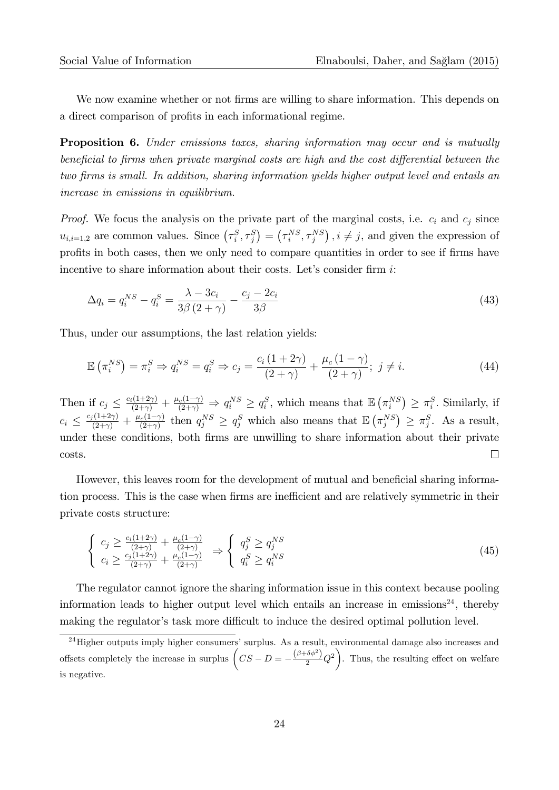We now examine whether or not firms are willing to share information. This depends on a direct comparison of profits in each informational regime.

**Proposition 6.** Under emissions taxes, sharing information may occur and is mutually beneficial to firms when private marginal costs are high and the cost differential between the two firms is small. In addition, sharing information yields higher output level and entails an increase in emissions in equilibrium.

*Proof.* We focus the analysis on the private part of the marginal costs, i.e.  $c_i$  and  $c_j$  since  $u_{i,i=1,2}$  are common values. Since  $(\tau_i^S, \tau_j^S) = (\tau_i^{NS}, \tau_j^{NS})$ ,  $i \neq j$ , and given the expression of profits in both cases, then we only need to compare quantities in order to see if firms have incentive to share information about their costs. Let's consider firm  $i$ :

$$
\Delta q_i = q_i^{NS} - q_i^S = \frac{\lambda - 3c_i}{3\beta (2 + \gamma)} - \frac{c_j - 2c_i}{3\beta} \tag{43}
$$

Thus, under our assumptions, the last relation yields:

$$
\mathbb{E}\left(\pi_i^{NS}\right) = \pi_i^S \Rightarrow q_i^{NS} = q_i^S \Rightarrow c_j = \frac{c_i\left(1+2\gamma\right)}{\left(2+\gamma\right)} + \frac{\mu_c\left(1-\gamma\right)}{\left(2+\gamma\right)}; \ j \neq i. \tag{44}
$$

Then if  $c_j \leq \frac{c_i(1+2\gamma)}{(2+\gamma)} + \frac{\mu_c(1-\gamma)}{(2+\gamma)} \Rightarrow q_i^{NS} \geq q_i^S$ , which means that  $\mathbb{E}(\pi_i^{NS}) \geq \pi_i^S$ . Similarly, if  $c_i \leq \frac{c_j(1+2\gamma)}{(2+\gamma)} + \frac{\mu_c(1-\gamma)}{(2+\gamma)}$  then  $q_j^{NS} \geq q_j^S$  which also means that  $\mathbb{E}(\pi_j^{NS}) \geq \pi_j^S$ . As a result, under these conditions, both firms are unwilling to share information about their private costs.  $\Box$ 

However, this leaves room for the development of mutual and beneficial sharing information process. This is the case when firms are inefficient and are relatively symmetric in their private costs structure:

$$
\begin{cases}\nc_j \ge \frac{c_i(1+2\gamma)}{(2+\gamma)} + \frac{\mu_c(1-\gamma)}{(2+\gamma)} \\
c_i \ge \frac{c_j(1+2\gamma)}{(2+\gamma)} + \frac{\mu_c(1-\gamma)}{(2+\gamma)}\n\end{cases}\n\Rightarrow\n\begin{cases}\nq_j^S \ge q_j^{NS} \\
q_i^S \ge q_i^{NS}\n\end{cases}\n\tag{45}
$$

The regulator cannot ignore the sharing information issue in this context because pooling information leads to higher output level which entails an increase in emissions<sup>24</sup>, thereby making the regulator's task more difficult to induce the desired optimal pollution level.

 $24$  Higher outputs imply higher consumers' surplus. As a result, environmental damage also increases and offsets completely the increase in surplus  $\left(CS - D = -\frac{(\beta + \delta\phi^2)}{2}Q^2\right)$ . Thus, the resulting effect on welfare is negative.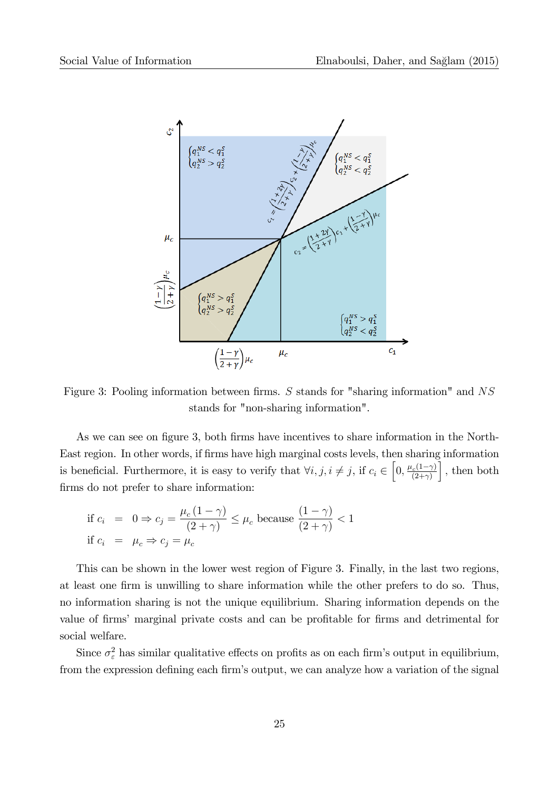

Figure 3: Pooling information between firms. S stands for "sharing information" and  $NS$ stands for "non-sharing information".

As we can see on figure 3, both firms have incentives to share information in the North-East region. In other words, if Örms have high marginal costs levels, then sharing information is beneficial. Furthermore, it is easy to verify that  $\forall i, j, i \neq j$ , if  $c_i \in \left[0, \frac{\mu_c(1-\gamma)}{(2+\gamma)}\right]$  $\big]$ , then both firms do not prefer to share information:

if 
$$
c_i = 0 \Rightarrow c_j = \frac{\mu_c (1 - \gamma)}{(2 + \gamma)} \le \mu_c
$$
 because  $\frac{(1 - \gamma)}{(2 + \gamma)} < 1$   
if  $c_i = \mu_c \Rightarrow c_j = \mu_c$ 

This can be shown in the lower west region of Figure 3. Finally, in the last two regions, at least one firm is unwilling to share information while the other prefers to do so. Thus, no information sharing is not the unique equilibrium. Sharing information depends on the value of firms' marginal private costs and can be profitable for firms and detrimental for social welfare.

Since  $\sigma_{\varepsilon}^2$  has similar qualitative effects on profits as on each firm's output in equilibrium, from the expression defining each firm's output, we can analyze how a variation of the signal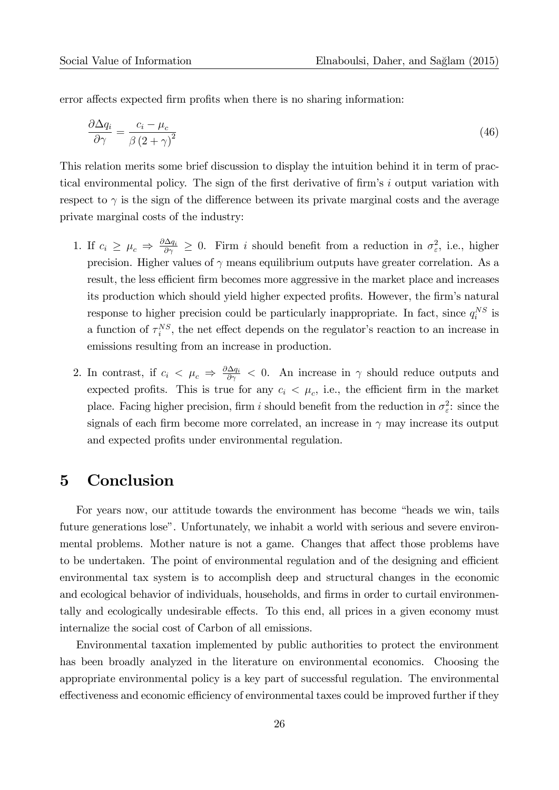error affects expected firm profits when there is no sharing information:

$$
\frac{\partial \Delta q_i}{\partial \gamma} = \frac{c_i - \mu_c}{\beta \left(2 + \gamma\right)^2} \tag{46}
$$

This relation merits some brief discussion to display the intuition behind it in term of practical environmental policy. The sign of the first derivative of firm's  $i$  output variation with respect to  $\gamma$  is the sign of the difference between its private marginal costs and the average private marginal costs of the industry:

- 1. If  $c_i \geq \mu_c \Rightarrow \frac{\partial \Delta q_i}{\partial \gamma} \geq 0$ . Firm i should benefit from a reduction in  $\sigma_{\varepsilon}^2$ , i.e., higher precision. Higher values of  $\gamma$  means equilibrium outputs have greater correlation. As a result, the less efficient firm becomes more aggressive in the market place and increases its production which should yield higher expected profits. However, the firm's natural response to higher precision could be particularly inappropriate. In fact, since  $q_i^{NS}$  is a function of  $\tau_i^{NS}$ , the net effect depends on the regulator's reaction to an increase in emissions resulting from an increase in production.
- 2. In contrast, if  $c_i < \mu_c \Rightarrow \frac{\partial \Delta q_i}{\partial \gamma} < 0$ . An increase in  $\gamma$  should reduce outputs and expected profits. This is true for any  $c_i < \mu_c$ , i.e., the efficient firm in the market place. Facing higher precision, firm i should benefit from the reduction in  $\sigma_{\varepsilon}^2$ : since the signals of each firm become more correlated, an increase in  $\gamma$  may increase its output and expected profits under environmental regulation.

### 5 Conclusion

For years now, our attitude towards the environment has become "heads we win, tails future generations lose". Unfortunately, we inhabit a world with serious and severe environmental problems. Mother nature is not a game. Changes that affect those problems have to be undertaken. The point of environmental regulation and of the designing and efficient environmental tax system is to accomplish deep and structural changes in the economic and ecological behavior of individuals, households, and firms in order to curtail environmentally and ecologically undesirable effects. To this end, all prices in a given economy must internalize the social cost of Carbon of all emissions.

Environmental taxation implemented by public authorities to protect the environment has been broadly analyzed in the literature on environmental economics. Choosing the appropriate environmental policy is a key part of successful regulation. The environmental effectiveness and economic efficiency of environmental taxes could be improved further if they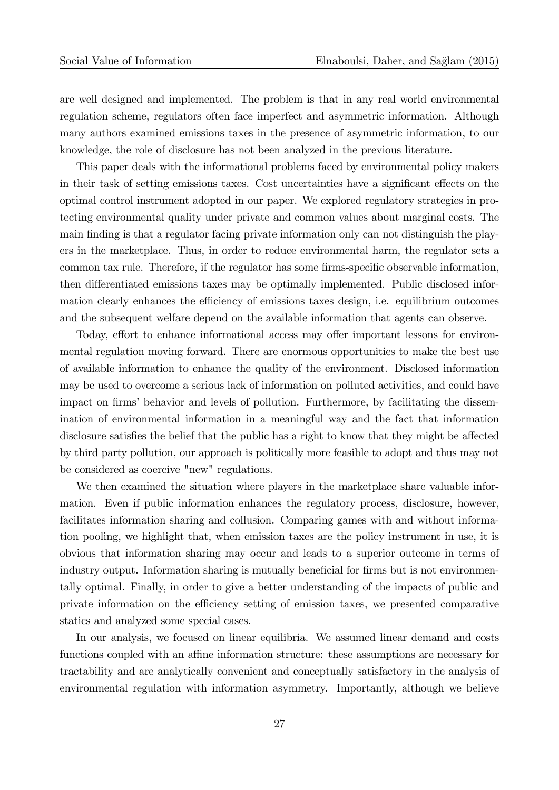are well designed and implemented. The problem is that in any real world environmental regulation scheme, regulators often face imperfect and asymmetric information. Although many authors examined emissions taxes in the presence of asymmetric information, to our knowledge, the role of disclosure has not been analyzed in the previous literature.

This paper deals with the informational problems faced by environmental policy makers in their task of setting emissions taxes. Cost uncertainties have a significant effects on the optimal control instrument adopted in our paper. We explored regulatory strategies in protecting environmental quality under private and common values about marginal costs. The main finding is that a regulator facing private information only can not distinguish the players in the marketplace. Thus, in order to reduce environmental harm, the regulator sets a common tax rule. Therefore, if the regulator has some firms-specific observable information, then differentiated emissions taxes may be optimally implemented. Public disclosed information clearly enhances the efficiency of emissions taxes design, i.e. equilibrium outcomes and the subsequent welfare depend on the available information that agents can observe.

Today, effort to enhance informational access may offer important lessons for environmental regulation moving forward. There are enormous opportunities to make the best use of available information to enhance the quality of the environment. Disclosed information may be used to overcome a serious lack of information on polluted activities, and could have impact on firms' behavior and levels of pollution. Furthermore, by facilitating the dissemination of environmental information in a meaningful way and the fact that information disclosure satisfies the belief that the public has a right to know that they might be affected by third party pollution, our approach is politically more feasible to adopt and thus may not be considered as coercive "new" regulations.

We then examined the situation where players in the marketplace share valuable information. Even if public information enhances the regulatory process, disclosure, however, facilitates information sharing and collusion. Comparing games with and without information pooling, we highlight that, when emission taxes are the policy instrument in use, it is obvious that information sharing may occur and leads to a superior outcome in terms of industry output. Information sharing is mutually beneficial for firms but is not environmentally optimal. Finally, in order to give a better understanding of the impacts of public and private information on the efficiency setting of emission taxes, we presented comparative statics and analyzed some special cases.

In our analysis, we focused on linear equilibria. We assumed linear demand and costs functions coupled with an affine information structure: these assumptions are necessary for tractability and are analytically convenient and conceptually satisfactory in the analysis of environmental regulation with information asymmetry. Importantly, although we believe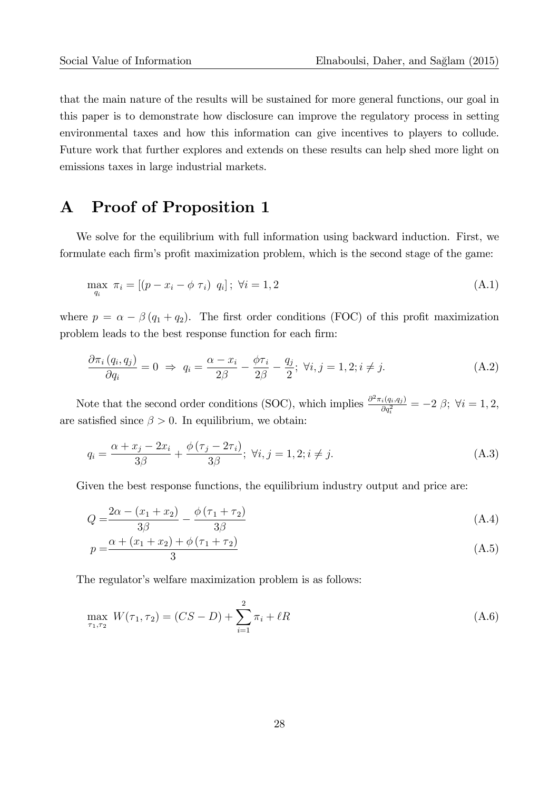that the main nature of the results will be sustained for more general functions, our goal in this paper is to demonstrate how disclosure can improve the regulatory process in setting environmental taxes and how this information can give incentives to players to collude. Future work that further explores and extends on these results can help shed more light on emissions taxes in large industrial markets.

### A Proof of Proposition 1

We solve for the equilibrium with full information using backward induction. First, we formulate each firm's profit maximization problem, which is the second stage of the game:

$$
\max_{q_i} \ \pi_i = [(p - x_i - \phi \ \tau_i) \ \ q_i]; \ \forall i = 1, 2
$$
\n(A.1)

where  $p = \alpha - \beta (q_1 + q_2)$ . The first order conditions (FOC) of this profit maximization problem leads to the best response function for each firm:

$$
\frac{\partial \pi_i (q_i, q_j)}{\partial q_i} = 0 \implies q_i = \frac{\alpha - x_i}{2\beta} - \frac{\phi \tau_i}{2\beta} - \frac{q_j}{2}; \ \forall i, j = 1, 2; i \neq j. \tag{A.2}
$$

Note that the second order conditions (SOC), which implies  $\frac{\partial^2 \pi_i(q_i,q_j)}{\partial q^2}$  $\frac{i(q_i, q_j)}{\partial q_i^2} = -2 \beta; \; \forall i = 1, 2,$ are satisfied since  $\beta > 0$ . In equilibrium, we obtain:

$$
q_i = \frac{\alpha + x_j - 2x_i}{3\beta} + \frac{\phi(\tau_j - 2\tau_i)}{3\beta}; \ \forall i, j = 1, 2; i \neq j.
$$
 (A.3)

Given the best response functions, the equilibrium industry output and price are:

$$
Q = \frac{2\alpha - (x_1 + x_2)}{3\beta} - \frac{\phi(\tau_1 + \tau_2)}{3\beta}
$$
 (A.4)

$$
p = \frac{\alpha + (x_1 + x_2) + \phi(\tau_1 + \tau_2)}{3} \tag{A.5}
$$

The regulator's welfare maximization problem is as follows:

$$
\max_{\tau_1, \tau_2} W(\tau_1, \tau_2) = (CS - D) + \sum_{i=1}^{2} \pi_i + \ell R \tag{A.6}
$$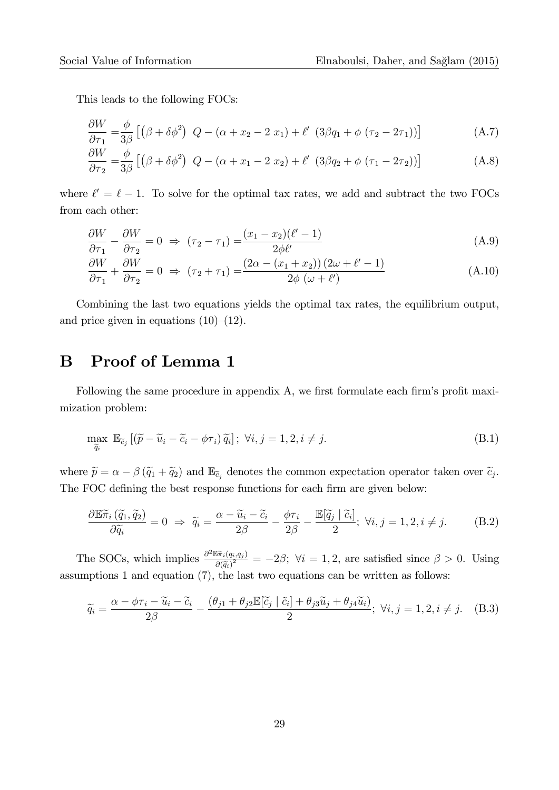This leads to the following FOCs:

$$
\frac{\partial W}{\partial \tau_1} = \frac{\phi}{3\beta} \left[ \left( \beta + \delta \phi^2 \right) \ Q - \left( \alpha + x_2 - 2 \ x_1 \right) + \ell' \ \left( 3\beta q_1 + \phi \ (\tau_2 - 2\tau_1) \right) \right] \tag{A.7}
$$

$$
\frac{\partial W}{\partial \tau_2} = \frac{\phi}{3\beta} \left[ \left( \beta + \delta \phi^2 \right) \ Q - \left( \alpha + x_1 - 2 \ x_2 \right) + \ell' \ \left( 3\beta q_2 + \phi \ (\tau_1 - 2\tau_2) \right) \right] \tag{A.8}
$$

where  $\ell' = \ell - 1$ . To solve for the optimal tax rates, we add and subtract the two FOCs from each other:

$$
\frac{\partial W}{\partial \tau_1} - \frac{\partial W}{\partial \tau_2} = 0 \Rightarrow (\tau_2 - \tau_1) = \frac{(x_1 - x_2)(\ell' - 1)}{2\phi\ell'} \tag{A.9}
$$

$$
\frac{\partial W}{\partial \tau_1} + \frac{\partial W}{\partial \tau_2} = 0 \implies (\tau_2 + \tau_1) = \frac{(2\alpha - (x_1 + x_2))(2\omega + \ell' - 1)}{2\phi(\omega + \ell')} \tag{A.10}
$$

Combining the last two equations yields the optimal tax rates, the equilibrium output, and price given in equations  $(10)-(12)$ .

### B Proof of Lemma 1

Following the same procedure in appendix A, we first formulate each firm's profit maximization problem:

$$
\max_{\widetilde{q}_i} \mathbb{E}_{\widetilde{c}_j} \left[ (\widetilde{p} - \widetilde{u}_i - \widetilde{c}_i - \phi \tau_i) \widetilde{q}_i \right]; \ \forall i, j = 1, 2, i \neq j. \tag{B.1}
$$

where  $\tilde{p} = \alpha - \beta (\tilde{q}_1 + \tilde{q}_2)$  and  $\mathbb{E}_{\tilde{c}_j}$  denotes the common expectation operator taken over  $\tilde{c}_j$ . The FOC defining the best response functions for each firm are given below:

$$
\frac{\partial \mathbb{E}\tilde{\pi}_i\left(\tilde{q}_1, \tilde{q}_2\right)}{\partial \tilde{q}_i} = 0 \implies \tilde{q}_i = \frac{\alpha - \tilde{u}_i - \tilde{c}_i}{2\beta} - \frac{\phi\tau_i}{2\beta} - \frac{\mathbb{E}[\tilde{q}_j \mid \tilde{c}_i]}{2}; \ \forall i, j = 1, 2, i \neq j. \tag{B.2}
$$

The SOCs, which implies  $\frac{\partial^2 \mathbb{E} \tilde{\pi}_i(q_i,q_j)}{\partial (\tilde{\pi})^2}$  $\frac{\partial \pi_i(q_i,q_j)}{\partial \widetilde{q_i}^2} = -2\beta; \ \forall i = 1,2$ , are satisfied since  $\beta > 0$ . Using assumptions 1 and equation (7), the last two equations can be written as follows:

$$
\widetilde{q}_i = \frac{\alpha - \phi \tau_i - \widetilde{u}_i - \widetilde{c}_i}{2\beta} - \frac{(\theta_{j1} + \theta_{j2} \mathbb{E}[\widetilde{c}_j \mid \widetilde{c}_i] + \theta_{j3} \widetilde{u}_j + \theta_{j4} \widetilde{u}_i)}{2}; \ \forall i, j = 1, 2, i \neq j. \tag{B.3}
$$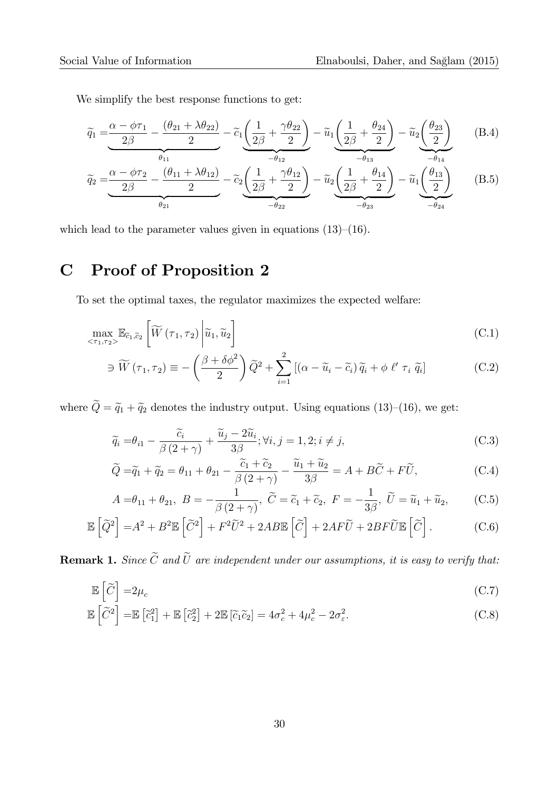We simplify the best response functions to get:

$$
\widetilde{q}_1 = \underbrace{\frac{\alpha - \phi \tau_1}{2\beta} - \frac{(\theta_{21} + \lambda \theta_{22})}{2}}_{\theta_{11}} - \widetilde{c}_1 \underbrace{\left(\frac{1}{2\beta} + \frac{\gamma \theta_{22}}{2}\right)}_{-\theta_{12}} - \widetilde{u}_1 \underbrace{\left(\frac{1}{2\beta} + \frac{\theta_{24}}{2}\right)}_{-\theta_{13}} - \widetilde{u}_2 \underbrace{\left(\frac{\theta_{23}}{2}\right)}_{-\theta_{14}} \tag{B.4}
$$

$$
\widetilde{q}_{2} = \underbrace{\frac{\alpha - \phi \tau_{2}}{2\beta} - \frac{(\theta_{11} + \lambda \theta_{12})}{2}}_{\theta_{21}} - \widetilde{c}_{2} \underbrace{\left(\frac{1}{2\beta} + \frac{\gamma \theta_{12}}{2}\right)}_{-\theta_{22}} - \widetilde{u}_{2} \underbrace{\left(\frac{1}{2\beta} + \frac{\theta_{14}}{2}\right)}_{-\theta_{23}} - \widetilde{u}_{1} \underbrace{\left(\frac{\theta_{13}}{2}\right)}_{-\theta_{24}} \tag{B.5}
$$

which lead to the parameter values given in equations  $(13)-(16)$ .

## C Proof of Proposition 2

To set the optimal taxes, the regulator maximizes the expected welfare:

$$
\max_{\langle \tau_1, \tau_2 \rangle} \mathbb{E}_{\tilde{c}_1, \tilde{c}_2} \left[ \widetilde{W} \left( \tau_1, \tau_2 \right) \middle| \widetilde{u}_1, \widetilde{u}_2 \right] \tag{C.1}
$$

$$
\ni \widetilde{W}(\tau_1, \tau_2) \equiv -\left(\frac{\beta + \delta\phi^2}{2}\right) \widetilde{Q}^2 + \sum_{i=1}^2 \left[ (\alpha - \widetilde{u}_i - \widetilde{c}_i) \widetilde{q}_i + \phi \ell' \tau_i \widetilde{q}_i \right]
$$
(C.2)

where  $\tilde{Q} = \tilde{q}_1 + \tilde{q}_2$  denotes the industry output. Using equations (13)–(16), we get:

$$
\widetilde{q}_i = \theta_{i1} - \frac{\widetilde{c}_i}{\beta(2+\gamma)} + \frac{\widetilde{u}_j - 2\widetilde{u}_i}{3\beta}; \forall i, j = 1, 2; i \neq j,
$$
\n(C.3)

$$
\widetilde{Q} = \widetilde{q}_1 + \widetilde{q}_2 = \theta_{11} + \theta_{21} - \frac{\widetilde{c}_1 + \widetilde{c}_2}{\beta (2 + \gamma)} - \frac{\widetilde{u}_1 + \widetilde{u}_2}{3\beta} = A + B\widetilde{C} + F\widetilde{U},\tag{C.4}
$$

$$
A = \theta_{11} + \theta_{21}, \ B = -\frac{1}{\beta(2+\gamma)}, \ \widetilde{C} = \widetilde{c}_1 + \widetilde{c}_2, \ F = -\frac{1}{3\beta}, \ \widetilde{U} = \widetilde{u}_1 + \widetilde{u}_2, \tag{C.5}
$$

$$
\mathbb{E}\left[\widetilde{Q}^2\right] = A^2 + B^2 \mathbb{E}\left[\widetilde{C}^2\right] + F^2 \widetilde{U}^2 + 2AB \mathbb{E}\left[\widetilde{C}\right] + 2AF \widetilde{U} + 2BF \widetilde{U} \mathbb{E}\left[\widetilde{C}\right].
$$
 (C.6)

**Remark 1.** Since  $\widetilde{C}$  and  $\widetilde{U}$  are independent under our assumptions, it is easy to verify that:

$$
\mathbb{E}\left[\widetilde{C}\right] = 2\mu_c \tag{C.7}
$$

$$
\mathbb{E}\left[\widetilde{C}^2\right] = \mathbb{E}\left[\widetilde{c}_1^2\right] + \mathbb{E}\left[\widetilde{c}_2^2\right] + 2\mathbb{E}\left[\widetilde{c}_1\widetilde{c}_2\right] = 4\sigma_c^2 + 4\mu_c^2 - 2\sigma_\varepsilon^2.
$$
\n(C.8)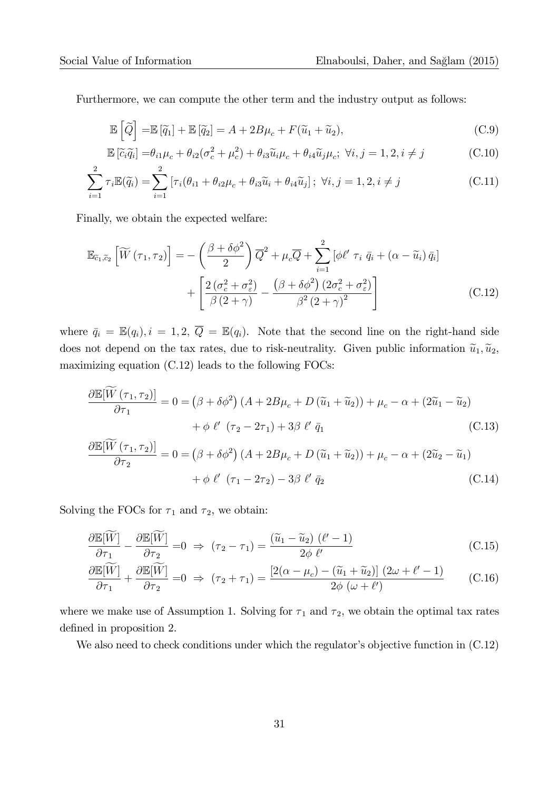Furthermore, we can compute the other term and the industry output as follows:

$$
\mathbb{E}\left[\widetilde{Q}\right] = \mathbb{E}\left[\widetilde{q}_1\right] + \mathbb{E}\left[\widetilde{q}_2\right] = A + 2B\mu_c + F(\widetilde{u}_1 + \widetilde{u}_2),\tag{C.9}
$$

$$
\mathbb{E}\left[\tilde{c}_i\tilde{q}_i\right] = \theta_{i1}\mu_c + \theta_{i2}(\sigma_c^2 + \mu_c^2) + \theta_{i3}\tilde{u}_i\mu_c + \theta_{i4}\tilde{u}_j\mu_c; \ \forall i, j = 1, 2, i \neq j \tag{C.10}
$$

$$
\sum_{i=1}^{2} \tau_i \mathbb{E}(\tilde{q}_i) = \sum_{i=1}^{2} \left[ \tau_i (\theta_{i1} + \theta_{i2} \mu_c + \theta_{i3} \tilde{u}_i + \theta_{i4} \tilde{u}_j) \right]; \ \forall i, j = 1, 2, i \neq j \tag{C.11}
$$

Finally, we obtain the expected welfare:

$$
\mathbb{E}_{\tilde{c}_1,\tilde{c}_2} \left[ \widetilde{W} \left( \tau_1, \tau_2 \right) \right] = -\left( \frac{\beta + \delta \phi^2}{2} \right) \overline{Q}^2 + \mu_c \overline{Q} + \sum_{i=1}^2 \left[ \phi \ell' \ \tau_i \ \overline{q}_i + \left( \alpha - \widetilde{u}_i \right) \overline{q}_i \right] + \left[ \frac{2 \left( \sigma_c^2 + \sigma_{\varepsilon}^2 \right)}{\beta \left( 2 + \gamma \right)} - \frac{\left( \beta + \delta \phi^2 \right) \left( 2 \sigma_c^2 + \sigma_{\varepsilon}^2 \right)}{\beta^2 \left( 2 + \gamma \right)^2} \right] \tag{C.12}
$$

where  $\bar{q}_i = \mathbb{E}(q_i)$ ,  $i = 1, 2, \bar{Q} = \mathbb{E}(q_i)$ . Note that the second line on the right-hand side does not depend on the tax rates, due to risk-neutrality. Given public information  $\tilde{u}_1, \tilde{u}_2$ , maximizing equation (C.12) leads to the following FOCs:

$$
\frac{\partial \mathbb{E}[\widetilde{W}(\tau_1, \tau_2)]}{\partial \tau_1} = 0 = (\beta + \delta\phi^2) (A + 2B\mu_c + D(\widetilde{u}_1 + \widetilde{u}_2)) + \mu_c - \alpha + (2\widetilde{u}_1 - \widetilde{u}_2)
$$
  
+  $\phi \ell' (\tau_2 - 2\tau_1) + 3\beta \ell' \bar{q}_1$  (C.13)  

$$
\frac{\partial \mathbb{E}[\widetilde{W}(\tau_1, \tau_2)]}{\partial \tau_2} = 0 = (\beta + \delta\phi^2) (A + 2B\mu_c + D(\widetilde{u}_1 + \widetilde{u}_2)) + \mu_c - \alpha + (2\widetilde{u}_2 - \widetilde{u}_1)
$$
  
+  $\phi \ell' (\tau_1 - 2\tau_2) - 3\beta \ell' \bar{q}_2$  (C.14)

Solving the FOCs for  $\tau_1$  and  $\tau_2$ , we obtain:

$$
\frac{\partial \mathbb{E}[\widetilde{W}]}{\partial \tau_1} - \frac{\partial \mathbb{E}[\widetilde{W}]}{\partial \tau_2} = 0 \implies (\tau_2 - \tau_1) = \frac{(\widetilde{u}_1 - \widetilde{u}_2) (\ell' - 1)}{2\phi \ell'} \tag{C.15}
$$

$$
\frac{\partial \mathbb{E}[\widetilde{W}]}{\partial \tau_1} + \frac{\partial \mathbb{E}[\widetilde{W}]}{\partial \tau_2} = 0 \implies (\tau_2 + \tau_1) = \frac{\left[2(\alpha - \mu_c) - (\widetilde{u}_1 + \widetilde{u}_2)\right](2\omega + \ell' - 1)}{2\phi(\omega + \ell')} \tag{C.16}
$$

where we make use of Assumption 1. Solving for  $\tau_1$  and  $\tau_2$ , we obtain the optimal tax rates defined in proposition 2.

We also need to check conditions under which the regulator's objective function in  $(C.12)$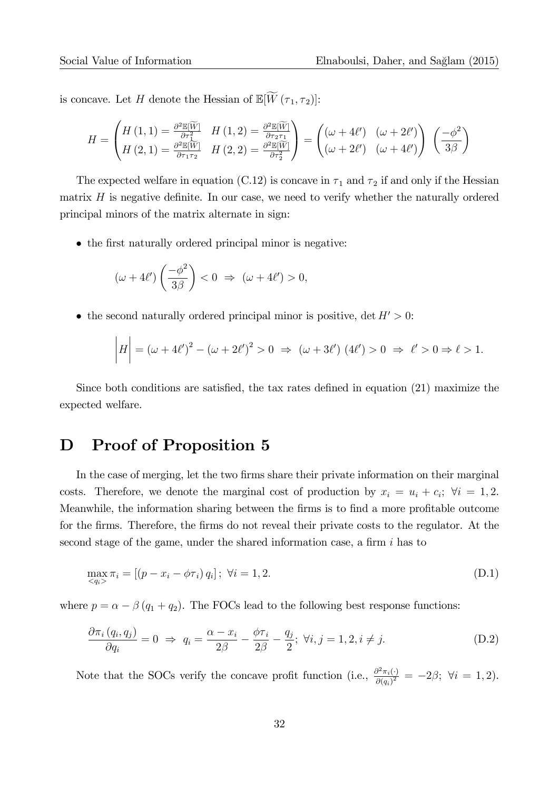is concave. Let H denote the Hessian of  $\mathbb{E}[\widetilde{W}(\tau_1, \tau_2)]$ :

$$
H = \begin{pmatrix} H(1,1) = \frac{\partial^2 \mathbb{E}[\widetilde{W}]}{\partial \tau_1^2} & H(1,2) = \frac{\partial^2 \mathbb{E}[\widetilde{W}]}{\partial \tau_2 \tau_1} \\ H(2,1) = \frac{\partial^2 \mathbb{E}[\widetilde{W}]}{\partial \tau_1 \tau_2} & H(2,2) = \frac{\partial^2 \mathbb{E}[\widetilde{W}]}{\partial \tau_2^2} \end{pmatrix} = \begin{pmatrix} (\omega + 4\ell') & (\omega + 2\ell') \\ (\omega + 2\ell') & (\omega + 4\ell') \end{pmatrix} \begin{pmatrix} -\phi^2 \\ 3\beta \end{pmatrix}
$$

The expected welfare in equation (C.12) is concave in  $\tau_1$  and  $\tau_2$  if and only if the Hessian matrix  $H$  is negative definite. In our case, we need to verify whether the naturally ordered principal minors of the matrix alternate in sign:

• the first naturally ordered principal minor is negative:

$$
(\omega + 4\ell')\left(\frac{-\phi^2}{3\beta}\right) < 0 \Rightarrow (\omega + 4\ell') > 0,
$$

• the second naturally ordered principal minor is positive,  $\det H' > 0$ :

$$
\left|H\right| = \left(\omega + 4\ell'\right)^2 - \left(\omega + 2\ell'\right)^2 > 0 \implies \left(\omega + 3\ell'\right)\left(4\ell'\right) > 0 \implies \ell' > 0 \implies \ell > 1.
$$

Since both conditions are satisfied, the tax rates defined in equation  $(21)$  maximize the expected welfare.

### D Proof of Proposition 5

In the case of merging, let the two firms share their private information on their marginal costs. Therefore, we denote the marginal cost of production by  $x_i = u_i + c_i$ ;  $\forall i = 1, 2$ . Meanwhile, the information sharing between the firms is to find a more profitable outcome for the firms. Therefore, the firms do not reveal their private costs to the regulator. At the second stage of the game, under the shared information case, a firm  $i$  has to

$$
\max_{\langle q_i \rangle} \pi_i = [(p - x_i - \phi \tau_i) q_i]; \ \forall i = 1, 2. \tag{D.1}
$$

where  $p = \alpha - \beta (q_1 + q_2)$ . The FOCs lead to the following best response functions:

$$
\frac{\partial \pi_i (q_i, q_j)}{\partial q_i} = 0 \implies q_i = \frac{\alpha - x_i}{2\beta} - \frac{\phi \tau_i}{2\beta} - \frac{q_j}{2}; \ \forall i, j = 1, 2, i \neq j.
$$
 (D.2)

Note that the SOCs verify the concave profit function (i.e.,  $\frac{\partial^2 \pi_i(t)}{\partial (\sigma_i)^2}$  $\frac{\partial^2 \pi_i(\cdot)}{\partial (q_i)^2} = -2\beta; \ \forall i = 1, 2.$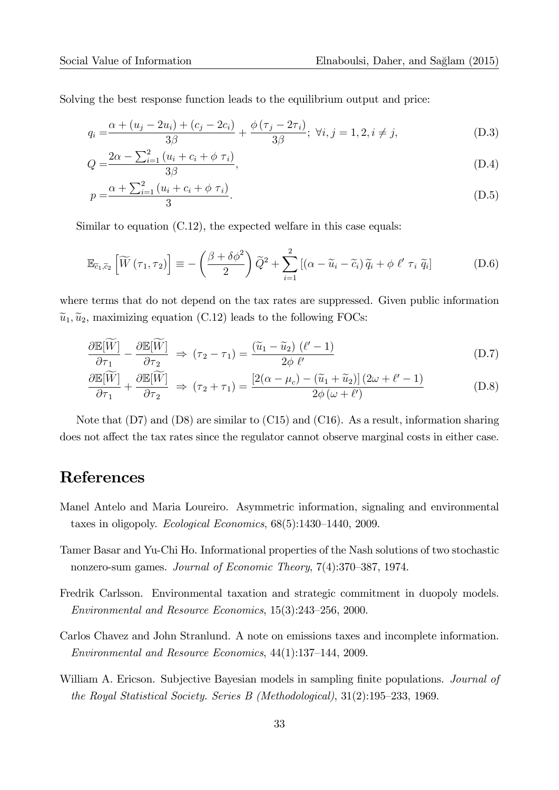Solving the best response function leads to the equilibrium output and price:

$$
q_i = \frac{\alpha + (u_j - 2u_i) + (c_j - 2c_i)}{3\beta} + \frac{\phi(\tau_j - 2\tau_i)}{3\beta}; \ \forall i, j = 1, 2, i \neq j,
$$
 (D.3)

$$
Q = \frac{2\alpha - \sum_{i=1}^{2} (u_i + c_i + \phi \tau_i)}{3\beta},
$$
\n(D.4)

$$
p = \frac{\alpha + \sum_{i=1}^{2} (u_i + c_i + \phi \tau_i)}{3}.
$$
 (D.5)

Similar to equation  $(C.12)$ , the expected welfare in this case equals:

$$
\mathbb{E}_{\tilde{c}_1,\tilde{c}_2} \left[ \widetilde{W} \left( \tau_1, \tau_2 \right) \right] \equiv -\left( \frac{\beta + \delta \phi^2}{2} \right) \widetilde{Q}^2 + \sum_{i=1}^2 \left[ \left( \alpha - \widetilde{u}_i - \widetilde{c}_i \right) \widetilde{q}_i + \phi \ \ell' \ \tau_i \ \widetilde{q}_i \right] \tag{D.6}
$$

where terms that do not depend on the tax rates are suppressed. Given public information  $\tilde{u}_1, \tilde{u}_2$ , maximizing equation (C.12) leads to the following FOCs:

$$
\frac{\partial \mathbb{E}[\widetilde{W}]}{\partial \tau_1} - \frac{\partial \mathbb{E}[\widetilde{W}]}{\partial \tau_2} \Rightarrow (\tau_2 - \tau_1) = \frac{(\widetilde{u}_1 - \widetilde{u}_2)(\ell' - 1)}{2\phi \ell'} \tag{D.7}
$$

$$
\frac{\partial \mathbb{E}[\widetilde{W}]}{\partial \tau_1} + \frac{\partial \mathbb{E}[\widetilde{W}]}{\partial \tau_2} \Rightarrow (\tau_2 + \tau_1) = \frac{\left[2(\alpha - \mu_c) - (\widetilde{u}_1 + \widetilde{u}_2)\right](2\omega + \ell' - 1)}{2\phi(\omega + \ell')} \tag{D.8}
$$

Note that (D7) and (D8) are similar to (C15) and (C16). As a result, information sharing does not affect the tax rates since the regulator cannot observe marginal costs in either case.

### References

- Manel Antelo and Maria Loureiro. Asymmetric information, signaling and environmental taxes in oligopoly. Ecological Economics,  $68(5):1430-1440$ , 2009.
- Tamer Basar and Yu-Chi Ho. Informational properties of the Nash solutions of two stochastic nonzero-sum games. Journal of Economic Theory,  $7(4):370-387$ , 1974.
- Fredrik Carlsson. Environmental taxation and strategic commitment in duopoly models. Environmental and Resource Economics,  $15(3):243-256$ , 2000.
- Carlos Chavez and John Stranlund. A note on emissions taxes and incomplete information. Environmental and Resource Economics,  $44(1):137-144$ , 2009.
- William A. Ericson. Subjective Bayesian models in sampling finite populations. *Journal of* the Royal Statistical Society. Series B (Methodological),  $31(2):195-233$ , 1969.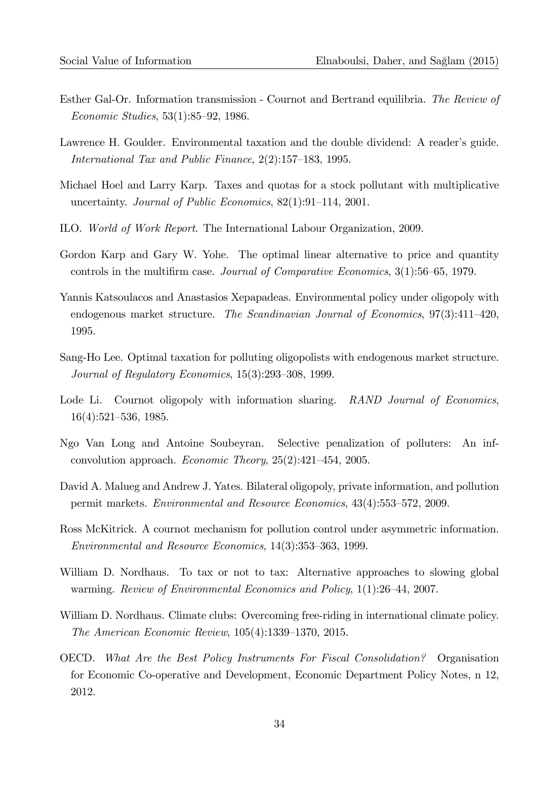- Esther Gal-Or. Information transmission Cournot and Bertrand equilibria. The Review of Economic Studies,  $53(1):85-92$ , 1986.
- Lawrence H. Goulder. Environmental taxation and the double dividend: A reader's guide. International Tax and Public Finance,  $2(2):157-183$ , 1995.
- Michael Hoel and Larry Karp. Taxes and quotas for a stock pollutant with multiplicative uncertainty. Journal of Public Economics,  $82(1):91-114$ , 2001.
- ILO. World of Work Report. The International Labour Organization, 2009.
- Gordon Karp and Gary W. Yohe. The optimal linear alternative to price and quantity controls in the multifirm case. Journal of Comparative Economics,  $3(1)$ :56–65, 1979.
- Yannis Katsoulacos and Anastasios Xepapadeas. Environmental policy under oligopoly with endogenous market structure. The Scandinavian Journal of Economics,  $97(3):411-420$ , 1995.
- Sang-Ho Lee. Optimal taxation for polluting oligopolists with endogenous market structure. Journal of Regulatory Economics,  $15(3):293-308$ , 1999.
- Lode Li. Cournot oligopoly with information sharing. RAND Journal of Economics,  $16(4):521-536, 1985.$
- Ngo Van Long and Antoine Soubeyran. Selective penalization of polluters: An infconvolution approach. *Economic Theory*,  $25(2):421-454$ , 2005.
- David A. Malueg and Andrew J. Yates. Bilateral oligopoly, private information, and pollution permit markets. *Environmental and Resource Economics*,  $43(4):553-572$ ,  $2009$ .
- Ross McKitrick. A cournot mechanism for pollution control under asymmetric information. Environmental and Resource Economics,  $14(3):353-363$ , 1999.
- William D. Nordhaus. To tax or not to tax: Alternative approaches to slowing global warming. Review of Environmental Economics and Policy,  $1(1):26-44$ , 2007.
- William D. Nordhaus. Climate clubs: Overcoming free-riding in international climate policy. The American Economic Review,  $105(4):1339-1370$ , 2015.
- OECD. What Are the Best Policy Instruments For Fiscal Consolidation? Organisation for Economic Co-operative and Development, Economic Department Policy Notes, n 12, 2012.